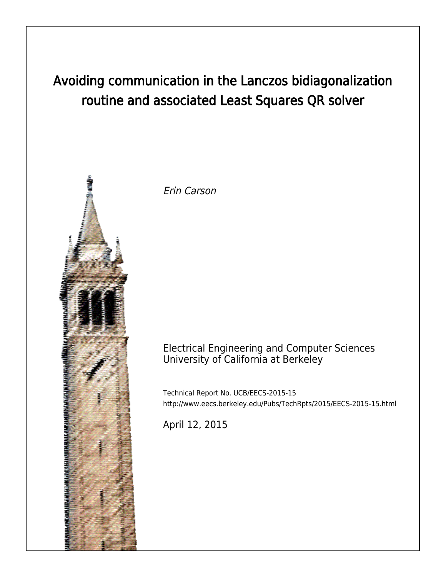# Avoiding communication in the Lanczos bidiagonalization routine and associated Least Squares QR solver



Erin Carson

## Electrical Engineering and Computer Sciences University of California at Berkeley

Technical Report No. UCB/EECS-2015-15 http://www.eecs.berkeley.edu/Pubs/TechRpts/2015/EECS-2015-15.html

April 12, 2015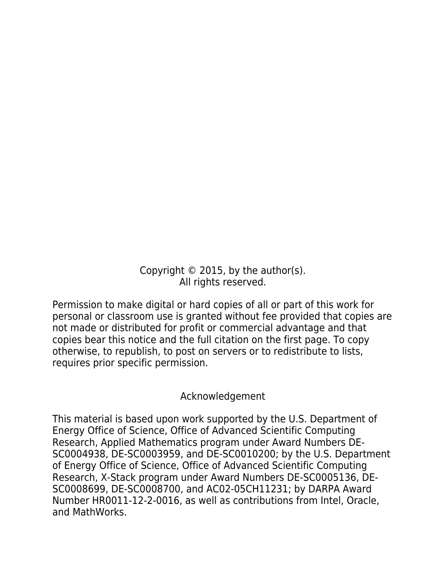Copyright  $\odot$  2015, by the author(s). All rights reserved.

Permission to make digital or hard copies of all or part of this work for personal or classroom use is granted without fee provided that copies are not made or distributed for profit or commercial advantage and that copies bear this notice and the full citation on the first page. To copy otherwise, to republish, to post on servers or to redistribute to lists, requires prior specific permission.

## Acknowledgement

This material is based upon work supported by the U.S. Department of Energy Office of Science, Office of Advanced Scientific Computing Research, Applied Mathematics program under Award Numbers DE-SC0004938, DE-SC0003959, and DE-SC0010200; by the U.S. Department of Energy Office of Science, Office of Advanced Scientific Computing Research, X-Stack program under Award Numbers DE-SC0005136, DE-SC0008699, DE-SC0008700, and AC02-05CH11231; by DARPA Award Number HR0011-12-2-0016, as well as contributions from Intel, Oracle, and MathWorks.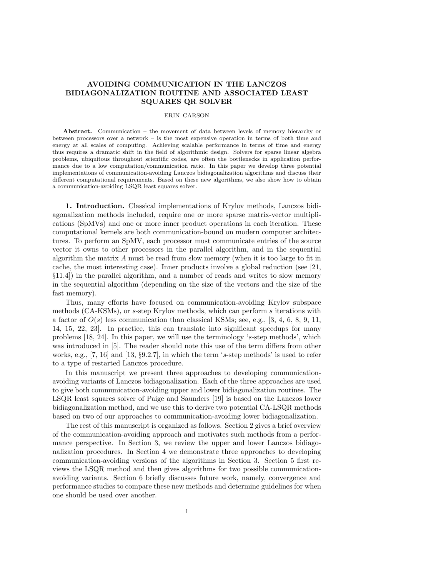### AVOIDING COMMUNICATION IN THE LANCZOS BIDIAGONALIZATION ROUTINE AND ASSOCIATED LEAST SQUARES QR SOLVER

#### ERIN CARSON

Abstract. Communication – the movement of data between levels of memory hierarchy or between processors over a network – is the most expensive operation in terms of both time and energy at all scales of computing. Achieving scalable performance in terms of time and energy thus requires a dramatic shift in the field of algorithmic design. Solvers for sparse linear algebra problems, ubiquitous throughout scientific codes, are often the bottlenecks in application performance due to a low computation/communication ratio. In this paper we develop three potential implementations of communication-avoiding Lanczos bidiagonalization algorithms and discuss their different computational requirements. Based on these new algorithms, we also show how to obtain a communication-avoiding LSQR least squares solver.

1. Introduction. Classical implementations of Krylov methods, Lanczos bidiagonalization methods included, require one or more sparse matrix-vector multiplications (SpMVs) and one or more inner product operations in each iteration. These computational kernels are both communication-bound on modern computer architectures. To perform an SpMV, each processor must communicate entries of the source vector it owns to other processors in the parallel algorithm, and in the sequential algorithm the matrix A must be read from slow memory (when it is too large to fit in cache, the most interesting case). Inner products involve a global reduction (see [21, §11.4]) in the parallel algorithm, and a number of reads and writes to slow memory in the sequential algorithm (depending on the size of the vectors and the size of the fast memory).

Thus, many efforts have focused on communication-avoiding Krylov subspace methods (CA-KSMs), or s-step Krylov methods, which can perform s iterations with a factor of  $O(s)$  less communication than classical KSMs; see, e.g., [3, 4, 6, 8, 9, 11, 14, 15, 22, 23]. In practice, this can translate into significant speedups for many problems [18, 24]. In this paper, we will use the terminology 's-step methods', which was introduced in [5]. The reader should note this use of the term differs from other works, e.g., [7, 16] and [13, §9.2.7], in which the term 's-step methods' is used to refer to a type of restarted Lanczos procedure.

In this manuscript we present three approaches to developing communicationavoiding variants of Lanczos bidiagonalization. Each of the three approaches are used to give both communication-avoiding upper and lower bidiagonalization routines. The LSQR least squares solver of Paige and Saunders [19] is based on the Lanczos lower bidiagonalization method, and we use this to derive two potential CA-LSQR methods based on two of our approaches to communication-avoiding lower bidiagonalization.

The rest of this manuscript is organized as follows. Section 2 gives a brief overview of the communication-avoiding approach and motivates such methods from a performance perspective. In Section 3, we review the upper and lower Lanczos bidiagonalization procedures. In Section 4 we demonstrate three approaches to developing communication-avoiding versions of the algorithms in Section 3. Section 5 first reviews the LSQR method and then gives algorithms for two possible communicationavoiding variants. Section 6 briefly discusses future work, namely, convergence and performance studies to compare these new methods and determine guidelines for when one should be used over another.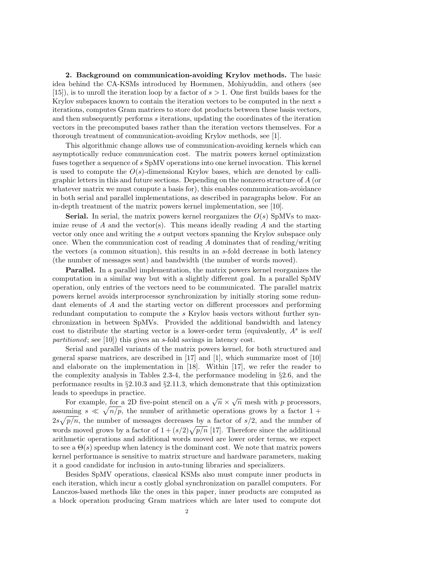2. Background on communication-avoiding Krylov methods. The basic idea behind the CA-KSMs introduced by Hoemmen, Mohiyuddin, and others (see [15]), is to unroll the iteration loop by a factor of  $s > 1$ . One first builds bases for the Krylov subspaces known to contain the iteration vectors to be computed in the next s iterations, computes Gram matrices to store dot products between these basis vectors, and then subsequently performs s iterations, updating the coordinates of the iteration vectors in the precomputed bases rather than the iteration vectors themselves. For a thorough treatment of communication-avoiding Krylov methods, see [1].

This algorithmic change allows use of communication-avoiding kernels which can asymptotically reduce communication cost. The matrix powers kernel optimization fuses together a sequence of s SpMV operations into one kernel invocation. This kernel is used to compute the  $O(s)$ -dimensional Krylov bases, which are denoted by calligraphic letters in this and future sections. Depending on the nonzero structure of A (or whatever matrix we must compute a basis for), this enables communication-avoidance in both serial and parallel implementations, as described in paragraphs below. For an in-depth treatment of the matrix powers kernel implementation, see [10].

**Serial.** In serial, the matrix powers kernel reorganizes the  $O(s)$  SpMVs to maximize reuse of  $A$  and the vector(s). This means ideally reading  $A$  and the starting vector only once and writing the s output vectors spanning the Krylov subspace only once. When the communication cost of reading  $A$  dominates that of reading/writing the vectors (a common situation), this results in an s-fold decrease in both latency (the number of messages sent) and bandwidth (the number of words moved).

Parallel. In a parallel implementation, the matrix powers kernel reorganizes the computation in a similar way but with a slightly different goal. In a parallel SpMV operation, only entries of the vectors need to be communicated. The parallel matrix powers kernel avoids interprocessor synchronization by initially storing some redundant elements of A and the starting vector on different processors and performing redundant computation to compute the s Krylov basis vectors without further synchronization in between SpMVs. Provided the additional bandwidth and latency cost to distribute the starting vector is a lower-order term (equivalently,  $A<sup>s</sup>$  is well partitioned; see [10]) this gives an s-fold savings in latency cost.

Serial and parallel variants of the matrix powers kernel, for both structured and general sparse matrices, are described in [17] and [1], which summarize most of [10] and elaborate on the implementation in [18]. Within [17], we refer the reader to the complexity analysis in Tables 2.3-4, the performance modeling in §2.6, and the performance results in §2.10.3 and §2.11.3, which demonstrate that this optimization leads to speedups in practice.

For example, for a 2D five-point stencil on a  $\sqrt{n} \times \sqrt{n}$  mesh with p processors, assuming  $s \ll \sqrt{n/p}$ , the number of arithmetic operations grows by a factor 1 +  $2s\sqrt{p/n}$ , the number of messages decreases by a factor of  $s/2$ , and the number of words moved grows by a factor of  $1 + (s/2)\sqrt{p/n}$  [17]. Therefore since the additional arithmetic operations and additional words moved are lower order terms, we expect to see a  $\Theta(s)$  speedup when latency is the dominant cost. We note that matrix powers kernel performance is sensitive to matrix structure and hardware parameters, making it a good candidate for inclusion in auto-tuning libraries and specializers.

Besides SpMV operations, classical KSMs also must compute inner products in each iteration, which incur a costly global synchronization on parallel computers. For Lanczos-based methods like the ones in this paper, inner products are computed as a block operation producing Gram matrices which are later used to compute dot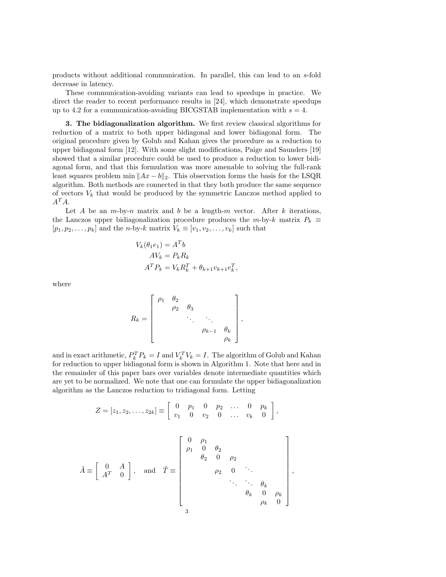products without additional communication. In parallel, this can lead to an s-fold decrease in latency.

These communication-avoiding variants can lead to speedups in practice. We direct the reader to recent performance results in [24], which demonstrate speedups up to 4.2 for a communication-avoiding BICGSTAB implementation with  $s = 4$ .

3. The bidiagonalization algorithm. We first review classical algorithms for reduction of a matrix to both upper bidiagonal and lower bidiagonal form. The original procedure given by Golub and Kahan gives the procedure as a reduction to upper bidiagonal form [12]. With some slight modifications, Paige and Saunders [19] showed that a similar procedure could be used to produce a reduction to lower bidiagonal form, and that this formulation was more amenable to solving the full-rank least squares problem min  $||Ax - b||_2$ . This observation forms the basis for the LSQR algorithm. Both methods are connected in that they both produce the same sequence of vectors  $V_k$  that would be produced by the symmetric Lanczos method applied to  $A^T A$ .

Let A be an  $m$ -by-n matrix and b be a length-m vector. After k iterations, the Lanczos upper bidiagonalization procedure produces the m-by-k matrix  $P_k \equiv$  $[p_1, p_2, \ldots, p_k]$  and the *n*-by-k matrix  $V_k \equiv [v_1, v_2, \ldots, v_k]$  such that

$$
V_k(\theta_1 e_1) = A^T b
$$
  
\n
$$
AV_k = P_k R_k
$$
  
\n
$$
A^T P_k = V_k R_k^T + \theta_{k+1} v_{k+1} e_k^T,
$$

where

$$
R_k = \begin{bmatrix} \rho_1 & \theta_2 & & & \\ & \rho_2 & \theta_3 & & \\ & & \ddots & \ddots & \\ & & & \rho_{k-1} & \theta_k \\ & & & & \rho_k \end{bmatrix},
$$

and in exact arithmetic,  $P_k^T P_k = I$  and  $V_k^T V_k = I$ . The algorithm of Golub and Kahan for reduction to upper bidiagonal form is shown in Algorithm 1. Note that here and in the remainder of this paper bars over variables denote intermediate quantities which are yet to be normalized. We note that one can formulate the upper bidiagonalization algorithm as the Lanczos reduction to tridiagonal form. Letting

$$
Z = [z_1, z_2, \dots, z_{2k}] \equiv \begin{bmatrix} 0 & p_1 & 0 & p_2 & \dots & 0 & p_k \\ v_1 & 0 & v_2 & 0 & \dots & v_k & 0 \end{bmatrix},
$$

$$
\tilde{A} \equiv \begin{bmatrix} 0 & A \\ A^T & 0 \end{bmatrix}, \text{ and } \tilde{T} \equiv \begin{bmatrix} 0 & \rho_1 \\ \rho_1 & 0 & \theta_2 \\ \theta_2 & 0 & \rho_2 \\ \vdots & \vdots & \ddots & \vdots \\ \rho_2 & 0 & \ddots \\ \vdots & \vdots & \ddots & \vdots \\ \theta_k & 0 & \rho_k \\ \theta_k & 0 & \rho_k \\ \vdots & \vdots & \vdots \\ \rho_k & 0 & \rho_k \end{bmatrix},
$$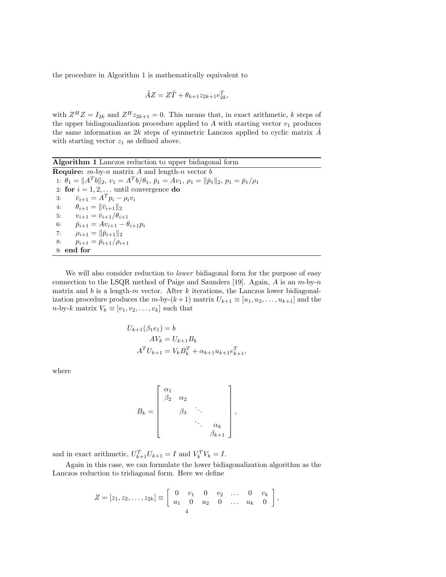the procedure in Algorithm 1 is mathematically equivalent to

$$
\tilde{A}Z = Z\tilde{T} + \theta_{k+1}z_{2k+1}e_{2k}^T,
$$

with  $Z^H Z = I_{2k}$  and  $Z^H z_{2k+1} = 0$ . This means that, in exact arithmetic, k steps of the upper bidiagonalization procedure applied to  $A$  with starting vector  $v_1$  produces the same information as  $2k$  steps of symmetric Lanczos applied to cyclic matrix  $A$ with starting vector  $z_1$  as defined above.

Algorithm 1 Lanczos reduction to upper bidiagonal form **Require:**  $m$ -by-n matrix A and length-n vector  $b$ 1:  $\theta_1 = ||A^T b||_2, v_1 = A^T b/\theta_1, \bar{p}_1 = Av_1, \rho_1 = ||\bar{p}_1||_2, p_1 = \bar{p}_1/\rho_1$ 2: for  $i = 1, 2, \ldots$  until convergence do 3:  $\bar{v}_{i+1} = A^T p_i - \rho_i v_i$ 4:  $\theta_{i+1} = ||\bar{v}_{i+1}||_2$ 5:  $v_{i+1} = \bar{v}_{i+1}/\theta_{i+1}$ 6:  $\bar{p}_{i+1} = Av_{i+1} - \theta_{i+1}p_i$ 7:  $\rho_{i+1} = ||\bar{p}_{i+1}||_2$ 8:  $p_{i+1} = \bar{p}_{i+1}/\rho_{i+1}$ 9: end for

We will also consider reduction to *lower* bidiagonal form for the purpose of easy connection to the LSQR method of Paige and Saunders [19]. Again, A is an  $m$ -by-n matrix and b is a length-m vector. After k iterations, the Lanczos lower bidiagonalization procedure produces the m-by- $(k+1)$  matrix  $U_{k+1} \equiv [u_1, u_2, \ldots, u_{k+1}]$  and the  $n$ -by-k matrix  $V_k \equiv [v_1, v_2, \dots, v_k]$  such that

$$
U_{k+1}(\beta_1 e_1) = b
$$
  
\n
$$
AV_k = U_{k+1}B_k
$$
  
\n
$$
A^T U_{k+1} = V_k B_k^T + \alpha_{k+1}u_{k+1}e_{k+1}^T,
$$

where

$$
B_k = \begin{bmatrix} \alpha_1 \\ \beta_2 & \alpha_2 \\ & \beta_3 & \ddots \\ & & \ddots & \ddots \\ & & & \beta_{k+1} \end{bmatrix},
$$

and in exact arithmetic,  $U_{k+1}^T U_{k+1} = I$  and  $V_k^T V_k = I$ .

Again in this case, we can formulate the lower bidiagonalization algorithm as the Lanczos reduction to tridiagonal form. Here we define

$$
Z = [z_1, z_2, \dots, z_{2k}] \equiv \begin{bmatrix} 0 & v_1 & 0 & v_2 & \dots & 0 & v_k \\ u_1 & 0 & u_2 & 0 & \dots & u_k & 0 \end{bmatrix},
$$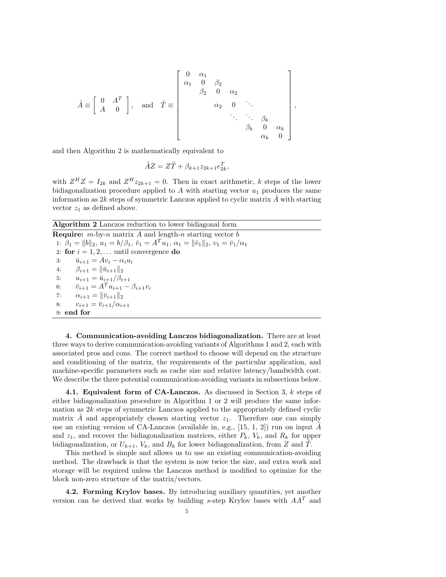$$
\tilde{A} \equiv \left[ \begin{array}{ccc} 0 & A^T \\ A & 0 \end{array} \right], \text{ and } \tilde{T} \equiv \left[ \begin{array}{cccc} 0 & \alpha_1 & & & \\ \alpha_1 & 0 & \beta_2 & & & \\ & \beta_2 & 0 & \alpha_2 & & \\ & & \alpha_2 & 0 & \ddots & \\ & & & \ddots & \ddots & \beta_k & \\ & & & & \beta_k & 0 & \alpha_k \\ & & & & & \alpha_k & 0 \end{array} \right],
$$

and then Algorithm 2 is mathematically equivalent to

$$
\tilde{A}Z = Z\tilde{T} + \beta_{k+1}z_{2k+1}e_{2k}^T,
$$

with  $Z^H Z = I_{2k}$  and  $Z^H z_{2k+1} = 0$ . Then in exact arithmetic, k steps of the lower bidiagonalization procedure applied to  $A$  with starting vector  $u_1$  produces the same information as  $2k$  steps of symmetric Lanczos applied to cyclic matrix  $A$  with starting vector  $z_1$  as defined above.

Algorithm 2 Lanczos reduction to lower bidiagonal form

**Require:**  $m$ -by-n matrix A and length-n starting vector  $b$ 1:  $\beta_1 = ||b||_2$ ,  $u_1 = b/\beta_1$ ,  $\bar{v}_1 = A^T u_1$ ,  $\alpha_1 = ||\bar{v}_1||_2$ ,  $v_1 = \bar{v}_1/\alpha_1$ 2: for  $i = 1, 2, \ldots$  until convergence do 3:  $\bar{u}_{i+1} = Av_i - \alpha_i u_i$ 4:  $\beta_{i+1} = ||\bar{u}_{i+1}||_2$ 5:  $u_{i+1} = \bar{u}_{i+1}/\beta_{i+1}$ 6:  $\bar{v}_{i+1} = A^T u_{i+1} - \beta_{i+1} v_i$ 7:  $\alpha_{i+1} = ||\bar{v}_{i+1}||_2$ 8:  $v_{i+1} = \bar{v}_{i+1}/\alpha_{i+1}$ 9: end for

4. Communication-avoiding Lanczos bidiagonalization. There are at least three ways to derive communication-avoiding variants of Algorithms 1 and 2, each with associated pros and cons. The correct method to choose will depend on the structure and conditioning of the matrix, the requirements of the particular application, and machine-specific parameters such as cache size and relative latency/bandwidth cost. We describe the three potential communication-avoiding variants in subsections below.

4.1. Equivalent form of CA-Lanczos. As discussed in Section 3, k steps of either bidiagonalization procedure in Algorithm 1 or 2 will produce the same information as 2k steps of symmetric Lanczos applied to the appropriately defined cyclic matrix A and appropriately chosen starting vector  $z_1$ . Therefore one can simply use an existing version of CA-Lanczos (available in, e.g.,  $[15, 1, 2]$ ) run on input A and  $z_1$ , and recover the bidiagonalization matrices, either  $P_k$ ,  $V_k$ , and  $R_k$  for upper bidiagonalization, or  $U_{k+1}$ ,  $V_k$ , and  $B_k$  for lower bidiagonalization, from Z and T.

This method is simple and allows us to use an existing communication-avoiding method. The drawback is that the system is now twice the size, and extra work and storage will be required unless the Lanczos method is modified to optimize for the block non-zero structure of the matrix/vectors.

4.2. Forming Krylov bases. By introducing auxiliary quantities, yet another version can be derived that works by building s-step Krylov bases with  $AA<sup>T</sup>$  and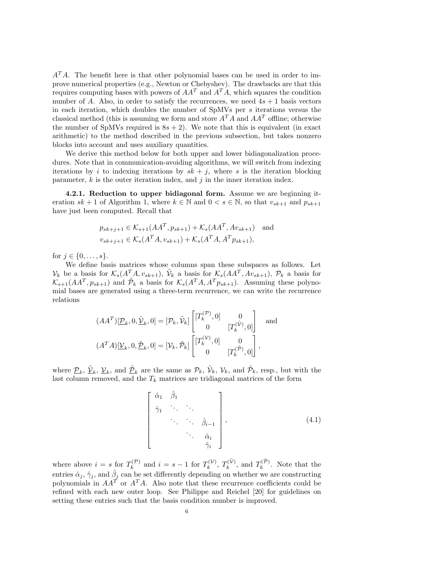$A<sup>T</sup>A$ . The benefit here is that other polynomial bases can be used in order to improve numerical properties (e.g., Newton or Chebyshev). The drawbacks are that this requires computing bases with powers of  $AA<sup>T</sup>$  and  $A<sup>T</sup>A$ , which squares the condition number of A. Also, in order to satisfy the recurrences, we need  $4s + 1$  basis vectors in each iteration, which doubles the number of  $SpMVs$  per s iterations versus the classical method (this is assuming we form and store  $A<sup>T</sup>A$  and  $AA<sup>T</sup>$  offline; otherwise the number of SpMVs required is  $8s + 2$ ). We note that this is equivalent (in exact arithmetic) to the method described in the previous subsection, but takes nonzero blocks into account and uses auxiliary quantities.

We derive this method below for both upper and lower bidiagonalization procedures. Note that in communication-avoiding algorithms, we will switch from indexing iterations by i to indexing iterations by  $sk + j$ , where s is the iteration blocking parameter,  $k$  is the outer iteration index, and  $j$  in the inner iteration index.

4.2.1. Reduction to upper bidiagonal form. Assume we are beginning iteration  $sk + 1$  of Algorithm 1, where  $k \in \mathbb{N}$  and  $0 < s \in \mathbb{N}$ , so that  $v_{sk+1}$  and  $p_{sk+1}$ have just been computed. Recall that

$$
p_{sk+j+1} \in \mathcal{K}_{s+1}(AA^T, p_{sk+1}) + \mathcal{K}_s(AA^T, Av_{sk+1}) \text{ and}
$$
  

$$
v_{sk+j+1} \in \mathcal{K}_s(A^T A, v_{sk+1}) + \mathcal{K}_s(A^T A, A^T p_{sk+1}),
$$

for  $j \in \{0, \ldots, s\}.$ 

We define basis matrices whose columns span these subspaces as follows. Let  $\mathcal{V}_k$  be a basis for  $\mathcal{K}_s(A^T A, v_{sk+1}), \tilde{\mathcal{V}}_k$  a basis for  $\mathcal{K}_s(AA^T, Av_{sk+1}), \mathcal{P}_k$  a basis for  $\mathcal{K}_{s+1}(AA^T, p_{sk+1})$  and  $\tilde{\mathcal{P}}_k$  a basis for  $\mathcal{K}_s(A^T A, A^T p_{sk+1})$ . Assuming these polynomial bases are generated using a three-term recurrence, we can write the recurrence relations

$$
(AA^T)[\underline{\mathcal{P}}_k, 0, \underline{\tilde{\mathcal{V}}}_k, 0] = [\mathcal{P}_k, \widetilde{\mathcal{V}}_k] \begin{bmatrix} [T_k^{(\mathcal{P})}, 0] & 0 \\ 0 & [T_k^{(\widetilde{\mathcal{V}})}, 0] \end{bmatrix} \text{ and}
$$

$$
(A^T A)[\underline{\mathcal{V}}_k, 0, \underline{\tilde{\mathcal{P}}}_k, 0] = [\mathcal{V}_k, \widetilde{\mathcal{P}}_k] \begin{bmatrix} [T_k^{(\mathcal{V})}, 0] & 0 \\ 0 & [T_k^{(\widetilde{\mathcal{P}})}, 0] \end{bmatrix},
$$

where  $\mathcal{P}_k$ ,  $\mathcal{V}_k$ ,  $\mathcal{V}_k$ , and  $\tilde{\mathcal{P}}_k$  are the same as  $\mathcal{P}_k$ ,  $\tilde{\mathcal{V}}_k$ ,  $\mathcal{V}_k$ , and  $\tilde{\mathcal{P}}_k$ , resp., but with the last column removed, and the  $T_k$  matrices are tridiagonal matrices of the form

$$
\begin{bmatrix}\n\hat{\alpha}_1 & \hat{\beta}_1 \\
\hat{\gamma}_1 & \cdots & \cdots \\
\vdots & \ddots & \hat{\beta}_{i-1} \\
\vdots & \ddots & \hat{\alpha}_i \\
\vdots & \ddots & \hat{\gamma}_i\n\end{bmatrix},
$$
\n(4.1)

where above  $i = s$  for  $T_k^{(\mathcal{P})}$  $a_k^{(\mathcal{P})}$  and  $i = s - 1$  for  $T_k^{(\mathcal{V})}$  $T_k^{(\mathcal{V})}, T_k^{(\tilde{\mathcal{V}})}$  $T_k^{(\tilde{\mathcal{V}})}$ , and  $T_k^{(\tilde{\mathcal{P}})}$  $\binom{n(P)}{k}$ . Note that the entries  $\hat{\alpha}_j$ ,  $\hat{\gamma}_j$ , and  $\hat{\beta}_j$  can be set differently depending on whether we are constructing polynomials in  $AA^T$  or  $A^T A$ . Also note that these recurrence coefficients could be refined with each new outer loop. See Philippe and Reichel [20] for guidelines on setting these entries such that the basis condition number is improved.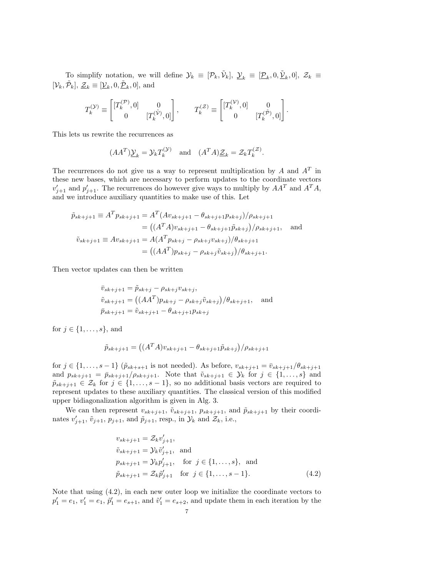To simplify notation, we will define  $\mathcal{Y}_k \equiv [\mathcal{P}_k, \tilde{\mathcal{V}}_k], \underline{\mathcal{Y}}_k \equiv [\underline{\mathcal{P}}_k, 0, \underline{\tilde{\mathcal{V}}}_k, 0], \mathcal{Z}_k \equiv$  $[\mathcal{V}_k, \tilde{\mathcal{P}}_k], \underline{\mathcal{Z}}_k \equiv [\underline{\mathcal{V}}_k, 0, \underline{\tilde{\mathcal{P}}}_k, 0],$  and

$$
T^{(\mathcal{Y})}_k\equiv \begin{bmatrix} [T^{(\mathcal{P})}_k,0] & 0 \\ 0 & [T^{(\tilde{\mathcal{V}})}_k,0] \end{bmatrix}, \qquad T^{(\mathcal{Z})}_k\equiv \begin{bmatrix} [T^{(\mathcal{V})}_k,0] & 0 \\ 0 & [T^{(\tilde{\mathcal{P}})}_k,0] \end{bmatrix}.
$$

This lets us rewrite the recurrences as

$$
(AA^T)\underline{\mathcal{Y}}_k = \mathcal{Y}_k T_k^{(\mathcal{Y})}
$$
 and  $(A^T A)\underline{\mathcal{Z}}_k = \mathcal{Z}_k T_k^{(\mathcal{Z})}$ .

The recurrences do not give us a way to represent multiplication by A and  $A<sup>T</sup>$  in these new bases, which are necessary to perform updates to the coordinate vectors  $v'_{j+1}$  and  $p'_{j+1}$ . The recurrences do however give ways to multiply by  $AA^T$  and  $A^TA$ , and we introduce auxiliary quantities to make use of this. Let

$$
\tilde{p}_{sk+j+1} \equiv A^T p_{sk+j+1} = A^T (Av_{sk+j+1} - \theta_{sk+j+1} p_{sk+j}) / \rho_{sk+j+1}
$$
  
\n
$$
= ((A^T A) v_{sk+j+1} - \theta_{sk+j+1} \tilde{p}_{sk+j}) / \rho_{sk+j+1}, \text{ and}
$$
  
\n
$$
\tilde{v}_{sk+j+1} \equiv A v_{sk+j+1} = A (A^T p_{sk+j} - \rho_{sk+j} v_{sk+j}) / \theta_{sk+j+1}
$$
  
\n
$$
= ((AA^T) p_{sk+j} - \rho_{sk+j} \tilde{v}_{sk+j}) / \theta_{sk+j+1}.
$$

Then vector updates can then be written

$$
\bar{v}_{sk+j+1} = \tilde{p}_{sk+j} - \rho_{sk+j} v_{sk+j}, \n\tilde{v}_{sk+j+1} = ((AA^T)p_{sk+j} - \rho_{sk+j}\tilde{v}_{sk+j})/\theta_{sk+j+1}, \text{ and} \n\bar{p}_{sk+j+1} = \tilde{v}_{sk+j+1} - \theta_{sk+j+1} p_{sk+j}
$$

for  $j \in \{1, \ldots, s\}$ , and

$$
\tilde{p}_{sk+j+1} = ((A^T A)v_{sk+j+1} - \theta_{sk+j+1}\tilde{p}_{sk+j})/\rho_{sk+j+1}
$$

for  $j \in \{1,\ldots,s-1\}$  ( $\tilde{p}_{sk+s+1}$  is not needed). As before,  $v_{sk+j+1} = \bar{v}_{sk+j+1}/\theta_{sk+j+1}$ and  $p_{sk+j+1} = \bar{p}_{sk+j+1}/\rho_{sk+j+1}$ . Note that  $\tilde{v}_{sk+j+1} \in \mathcal{Y}_k$  for  $j \in \{1, \ldots, s\}$  and  $\tilde{p}_{sk+j+1} \in \mathcal{Z}_k$  for  $j \in \{1, \ldots, s-1\}$ , so no additional basis vectors are required to represent updates to these auxiliary quantities. The classical version of this modified upper bidiagonalization algorithm is given in Alg. 3.

We can then represent  $v_{sk+j+1}$ ,  $\tilde{v}_{sk+j+1}$ ,  $p_{sk+j+1}$ , and  $\tilde{p}_{sk+j+1}$  by their coordinates  $v'_{j+1}$ ,  $\tilde{v}_{j+1}$ ,  $p_{j+1}$ , and  $\tilde{p}_{j+1}$ , resp., in  $\mathcal{Y}_k$  and  $\mathcal{Z}_k$ , i.e.,

$$
v_{sk+j+1} = \mathcal{Z}_k v'_{j+1},
$$
  
\n
$$
\tilde{v}_{sk+j+1} = \mathcal{Y}_k \tilde{v}'_{j+1},
$$
 and  
\n
$$
p_{sk+j+1} = \mathcal{Y}_k p'_{j+1},
$$
 for  $j \in \{1, ..., s\},$  and  
\n
$$
\tilde{p}_{sk+j+1} = \mathcal{Z}_k \tilde{p}'_{j+1}
$$
 for  $j \in \{1, ..., s-1\}.$  (4.2)

Note that using (4.2), in each new outer loop we initialize the coordinate vectors to  $p'_1 = e_1, v'_1 = e_1, \tilde{p}'_1 = e_{s+1}$ , and  $\tilde{v}'_1 = e_{s+2}$ , and update them in each iteration by the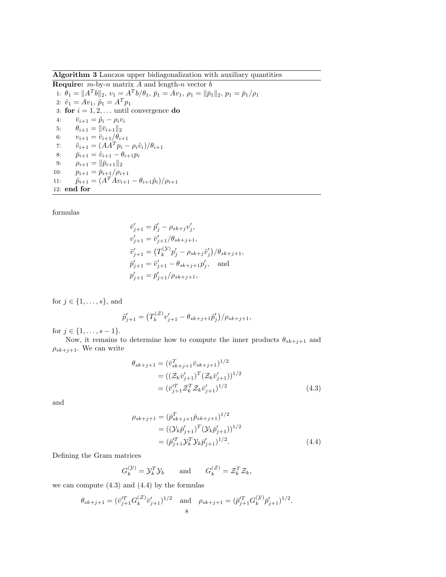Algorithm 3 Lanczos upper bidiagonalization with auxiliary quantities

**Require:**  $m$ -by-n matrix A and length-n vector  $b$ 1:  $\theta_1 = ||A^T b||_2, v_1 = A^T b/\theta_1, \bar{p}_1 = Av_1, \rho_1 = ||\bar{p}_1||_2, p_1 = \bar{p}_1/\rho_1$ 2:  $\tilde{v}_1 = Av_1$ ,  $\tilde{p}_1 = A^T p_1$ 3: for  $i = 1, 2, \ldots$  until convergence do 4:  $\bar{v}_{i+1} = \tilde{p}_i - \rho_i v_i$ 5:  $\theta_{i+1} = ||\bar{v}_{i+1}||_2$ 6:  $v_{i+1} = \bar{v}_{i+1}/\theta_{i+1}$ 7:  $\tilde{v}_{i+1} = (AA^T p_i - \rho_i \tilde{v}_i)/\theta_{i+1}$ 8:  $\bar{p}_{i+1} = \tilde{v}_{i+1} - \theta_{i+1} p_i$ 9:  $\rho_{i+1} = ||\bar{p}_{i+1}||_2$ 10:  $p_{i+1} = \bar{p}_{i+1}/\rho_{i+1}$ 11:  $\tilde{p}_{i+1} = (A^T A v_{i+1} - \theta_{i+1} \tilde{p}_i) / \rho_{i+1}$ 12: end for

formulas

$$
\begin{aligned}\n\bar{v}'_{j+1} &= \tilde{p}'_j - \rho_{sk+j} v'_j, \\
v'_{j+1} &= \bar{v}'_{j+1}/\theta_{sk+j+1}, \\
\tilde{v}'_{j+1} &= \left(T_k^{(\mathcal{Y})} p'_j - \rho_{sk+j} \tilde{v}'_j\right) / \theta_{sk+j+1}, \\
\bar{p}'_{j+1} &= \tilde{v}'_{j+1} - \theta_{sk+j+1} p'_j, \quad \text{and} \\
p'_{j+1} &= \bar{p}'_{j+1} / \rho_{sk+j+1},\n\end{aligned}
$$

for  $j \in \{1, \ldots, s\}$ , and

$$
\tilde{p}'_{j+1} = (T_k^{(\mathcal{Z})} v'_{j+1} - \theta_{sk+j+1} \tilde{p}'_j)/\rho_{sk+j+1},
$$

for  $j \in \{1, \ldots, s-1\}.$ 

Now, it remains to determine how to compute the inner products  $\theta_{sk+j+1}$  and  $\rho_{sk+j+1}$ . We can write

$$
\theta_{sk+j+1} = (\bar{v}_{sk+j+1}^T \bar{v}_{sk+j+1})^{1/2}
$$
  
=  $((Z_k \bar{v}_{j+1}^{\prime})^T (Z_k \bar{v}_{j+1}^{\prime}))^{1/2}$   
=  $(\bar{v}_{j+1}^{\prime T} Z_k^T Z_k \bar{v}_{j+1}^{\prime})^{1/2}$  (4.3)

and

$$
\rho_{sk+j+1} = (\bar{p}_{sk+j+1}^T \bar{p}_{sk+j+1})^{1/2}
$$
  
= ((\mathcal{Y}\_k \bar{p}\_{j+1}')^T (\mathcal{Y}\_k \bar{p}\_{j+1}')^{1/2}  
= (\bar{p}\_{j+1}'^T \mathcal{Y}\_k \mathcal{Y}\_k \bar{p}\_{j+1}')^{1/2}. (4.4)

Defining the Gram matrices

$$
G_k^{(\mathcal{Y})} = \mathcal{Y}_k^T \mathcal{Y}_k
$$
 and  $G_k^{(\mathcal{Z})} = \mathcal{Z}_k^T \mathcal{Z}_k$ ,

we can compute (4.3) and (4.4) by the formulas

$$
\theta_{sk+j+1} = (\bar{v}_{j+1}^{'T} G_k^{(\mathcal{Z})} \bar{v}_{j+1}')^{1/2}
$$
 and  $\rho_{sk+j+1} = (\bar{p}_{j+1}^{'T} G_k^{(\mathcal{Y})} \bar{p}_{j+1}')^{1/2}$ .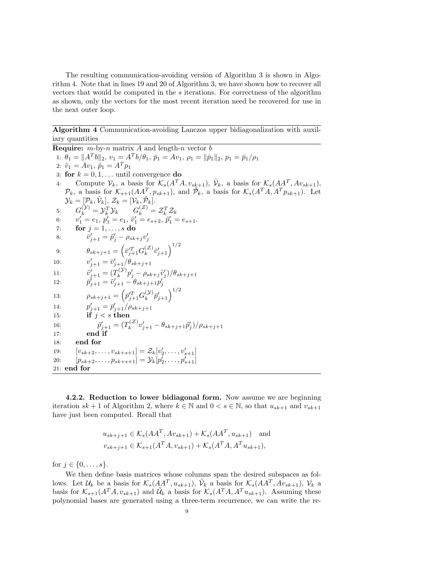The resulting communication-avoiding version of Algorithm 3 is shown in Algorithm 4. Note that in lines 19 and 20 of Algorithm 3, we have shown how to recover all vectors that would be computed in the s iterations. For correctness of the algorithm as shown, only the vectors for the most recent iteration need be recovered for use in the next outer loop.

Algorithm 4 Communication-avoiding Lanczos upper bidiagonalization with auxiliary quantities

**Require:**  $m$ -by-n matrix  $A$  and length-n vector  $b$ 1:  $\theta_1 = ||A^T b||_2, v_1 = A^T b/\theta_1, \bar{p}_1 = Av_1, \rho_1 = ||\bar{p}_1||_2, p_1 = \bar{p}_1/\rho_1$ 2:  $\tilde{v}_1 = Av_1, \, \tilde{p}_1 = A^T p_1$ 3: for  $k = 0, 1, \ldots$  until convergence do 4: Compute  $\mathcal{V}_k$ , a basis for  $\mathcal{K}_s(A^T A, v_{sk+1}), \tilde{\mathcal{V}}_k$ , a basis for  $\mathcal{K}_s(A A^T, A v_{sk+1}),$  $\mathcal{P}_k$ , a basis for  $\mathcal{K}_{s+1}(AA^T, p_{sk+1})$ , and  $\tilde{\mathcal{P}}_k$ , a basis for  $\mathcal{K}_s(A^T A, A^T p_{sk+1})$ . Let  $\mathcal{Y}_k = [\mathcal{P}_k, \tilde{\mathcal{V}}_k], \, \mathcal{Z}_k = [\mathcal{V}_k, \tilde{\mathcal{P}}_k].$ 5:  $G_k^{(\mathcal{Y})} = \mathcal{Y}_k^T \mathcal{Y}_k \qquad G_k^{(\mathcal{Z})} = \mathcal{Z}_k^T \mathcal{Z}_k$ 6:  $v'_1 = e_1, p'_1 = e_1, \tilde{v}'_1 = e_{s+2}, \tilde{p}'_1 = e_{s+1}.$ 7: **for**  $j = 1, ..., s$  do 8:  $\bar{v}'_{j+1} = \tilde{p}'_j - \rho_{sk+j} v'_j$ 9:  $\theta_{sk+j+1} = \left(\bar{v}_{j+1}^{\prime T} G_k^{(\mathcal{Z})}\right)$  $_{k}^{(\mathcal{Z})}\bar{v}_{j+1}^{\prime}\Big)^{1/2}$  $10:$  $y'_{j+1} = \bar{v}'_{j+1}/\theta_{sk+j+1}$  $11:$  $y'_{j+1} = (T_k^{(\mathcal{Y})})$  $\hat{p}_j^{( \mathcal{Y} )} p_j' - \rho_{s k + j} \tilde{v}_j' ) / \theta_{s k + j + 1}$ 12:  $\overline{p}'_{j+1} = \widetilde{v}'_{j+1} - \theta_{sk+j+1} p'_j$ 13:  $\rho_{sk+j+1} = \left( \bar{p}_{j+1}^{\prime T} G_k^{(\mathcal{Y})} \right)$  $\left(\begin{smallmatrix} \mathcal{Y} \ \mathcal{Y} \end{smallmatrix} \right) \bar{p}_{j+1}^\prime \Big)^{1/2}$ 14:  $p'_{j+1} = \bar{p}'_{j+1}/\rho_{sk+j+1}$ 15: if  $j < s$  then 16:  $\tilde{p}'_{j+1} = (T_k^{(Z)})$  $\hat{p}_k^{(\mathcal{Z})} v_{j+1}' - \theta_{sk+j+1} \tilde{p}_j' )/\rho_{sk+j+1}$ 17: end if 18: end for 19:  $[v_{sk+2}, \ldots, v_{sk+s+1}] = \mathcal{Z}_k[v'_2, \ldots, v'_{s+1}]$ 20:  $[p_{sk+2}, \ldots, p_{sk+s+1}] = \mathcal{Y}_k[p'_2, \ldots, p'_{s+1}]$ 21: end for

4.2.2. Reduction to lower bidiagonal form. Now assume we are beginning iteration  $sk + 1$  of Algorithm 2, where  $k \in \mathbb{N}$  and  $0 < s \in \mathbb{N}$ , so that  $u_{sk+1}$  and  $v_{sk+1}$ have just been computed. Recall that

$$
u_{sk+j+1} \in \mathcal{K}_s(AA^T, Av_{sk+1}) + \mathcal{K}_s(AA^T, u_{sk+1}) \text{ and}
$$
  

$$
v_{sk+j+1} \in \mathcal{K}_{s+1}(A^T A, v_{sk+1}) + \mathcal{K}_s(A^T A, A^T u_{sk+1}),
$$

for  $j \in \{0, \ldots, s\}.$ 

We then define basis matrices whose columns span the desired subspaces as follows. Let  $\mathcal{U}_k$  be a basis for  $\mathcal{K}_s(AA^T, u_{sk+1}), \tilde{\mathcal{V}}_k$  a basis for  $\mathcal{K}_s(AA^T, Av_{sk+1}), \mathcal{V}_k$  a basis for  $\mathcal{K}_{s+1}(A^T A, v_{sk+1})$  and  $\mathcal{U}_k$  a basis for  $\mathcal{K}_s(A^T A, A^T u_{sk+1})$ . Assuming these polynomial bases are generated using a three-term recurrence, we can write the re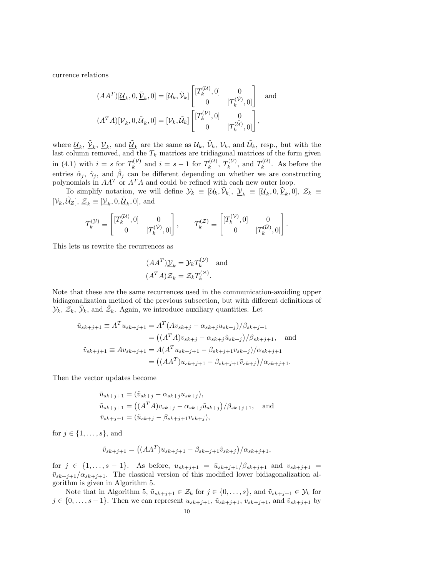currence relations

$$
(AA^T)[\underline{\mathcal{U}}_k, 0, \underline{\tilde{\mathcal{V}}}_k, 0] = [\mathcal{U}_k, \tilde{\mathcal{V}}_k] \begin{bmatrix} [T_k^{(\mathcal{U})}, 0] & 0 \\ 0 & [T_k^{(\tilde{\mathcal{V}})}, 0] \end{bmatrix} \text{ and}
$$

$$
(A^T A)[\underline{\mathcal{V}}_k, 0, \underline{\tilde{\mathcal{U}}}_k, 0] = [\mathcal{V}_k, \tilde{\mathcal{U}}_k] \begin{bmatrix} [T_k^{(\mathcal{V})}, 0] & 0 \\ 0 & [T_k^{(\tilde{\mathcal{U}})}, 0] \end{bmatrix},
$$

where  $\underline{\mathcal{U}}_k$ ,  $\tilde{\mathcal{V}}_k$ ,  $\underline{\mathcal{V}}_k$ , and  $\tilde{\mathcal{U}}_k$  are the same as  $\mathcal{U}_k$ ,  $\tilde{\mathcal{V}}_k$ ,  $\mathcal{V}_k$ , and  $\tilde{\mathcal{U}}_k$ , resp., but with the last column removed, and the  $T_k$  matrices are tridiagonal matrices of the form given in (4.1) with  $i = s$  for  $T_k^{(\mathcal{V})}$  $a_k^{(\mathcal{V})}$  and  $i = s - 1$  for  $T_k^{(\mathcal{U})}$  $T_k^{(\mathcal{U})},\ T_k^{(\tilde{\mathcal{V}})}$  $T_k^{(\tilde{\mathcal{V}})}$ , and  $T_k^{(\tilde{\mathcal{U}})}$  $\kappa^{(\mathcal{U})}$ . As before the entries  $\hat{\alpha}_j$ ,  $\hat{\gamma}_j$ , and  $\hat{\beta}_j$  can be different depending on whether we are constructing polynomials in  $AA^T$  or  $A^T A$  and could be refined with each new outer loop.

To simplify notation, we will define  $\mathcal{Y}_k \equiv [\mathcal{U}_k, \tilde{\mathcal{V}}_k], \underline{\mathcal{Y}}_k \equiv [\underline{\mathcal{U}}_k, 0, \underline{\tilde{\mathcal{V}}}_k, 0], \mathcal{Z}_k \equiv$  $[\mathcal{V}_k, \tilde{\mathcal{U}}_Z], \underline{\mathcal{Z}}_k \equiv [\underline{\mathcal{V}}_k, 0, \underline{\tilde{\mathcal{U}}}_k, 0],$  and

$$
T_k^{(\mathcal{Y})} \equiv \begin{bmatrix} [T_k^{(\mathcal{U})}, 0] & 0 \\ 0 & [T_k^{(\tilde{\mathcal{V}})}, 0] \end{bmatrix}, \qquad T_k^{(\mathcal{Z})} \equiv \begin{bmatrix} [T_k^{(\mathcal{V})}, 0] & 0 \\ 0 & [T_k^{(\tilde{\mathcal{U}})}, 0] \end{bmatrix}.
$$

This lets us rewrite the recurrences as

$$
(AA^T)\underline{\mathcal{Y}}_k = \mathcal{Y}_k T_k^{(\mathcal{Y})}
$$
 and  
 $(A^T A)\underline{\mathcal{Z}}_k = \mathcal{Z}_k T_k^{(\mathcal{Z})}$ .

Note that these are the same recurrences used in the communication-avoiding upper bidiagonalization method of the previous subsection, but with different definitions of  $\mathcal{Y}_k, \, \tilde{\mathcal{Z}}_k, \, \tilde{\mathcal{Y}}_k$ , and  $\tilde{\mathcal{Z}}_k$ . Again, we introduce auxiliary quantities. Let

$$
\tilde{u}_{sk+j+1} \equiv A^T u_{sk+j+1} = A^T (Av_{sk+j} - \alpha_{sk+j} u_{sk+j}) / \beta_{sk+j+1}
$$
  
\n
$$
= ((A^T A) v_{sk+j} - \alpha_{sk+j} \tilde{u}_{sk+j}) / \beta_{sk+j+1}, \text{ and}
$$
  
\n
$$
\tilde{v}_{sk+j+1} \equiv A v_{sk+j+1} = A (A^T u_{sk+j+1} - \beta_{sk+j+1} v_{sk+j}) / \alpha_{sk+j+1}
$$
  
\n
$$
= ((AA^T) u_{sk+j+1} - \beta_{sk+j+1} \tilde{v}_{sk+j}) / \alpha_{sk+j+1}.
$$

Then the vector updates become

$$
\bar{u}_{sk+j+1} = (\tilde{v}_{sk+j} - \alpha_{sk+j} u_{sk+j}), \n\tilde{u}_{sk+j+1} = ((A^T A)v_{sk+j} - \alpha_{sk+j} \tilde{u}_{sk+j})/\beta_{sk+j+1}, \text{ and } \n\bar{v}_{sk+j+1} = (\tilde{u}_{sk+j} - \beta_{sk+j+1} v_{sk+j}),
$$

for  $j \in \{1, \ldots, s\}$ , and

$$
\tilde{v}_{sk+j+1} = ((AA^T)u_{sk+j+1} - \beta_{sk+j+1}\tilde{v}_{sk+j})/\alpha_{sk+j+1},
$$

for  $j \in \{1, ..., s-1\}$ . As before,  $u_{sk+j+1} = \bar{u}_{sk+j+1}/\beta_{sk+j+1}$  and  $v_{sk+j+1} =$  $\bar{v}_{sk+j+1}/\alpha_{sk+j+1}$ . The classical version of this modified lower bidiagonalization algorithm is given in Algorithm 5.

Note that in Algorithm 5,  $\tilde{u}_{sk+j+1} \in \mathcal{Z}_k$  for  $j \in \{0, \ldots, s\}$ , and  $\tilde{v}_{sk+j+1} \in \mathcal{Y}_k$  for  $j \in \{0, \ldots, s-1\}$ . Then we can represent  $u_{sk+j+1}, \tilde{u}_{sk+j+1}, v_{sk+j+1},$  and  $\tilde{v}_{sk+j+1}$  by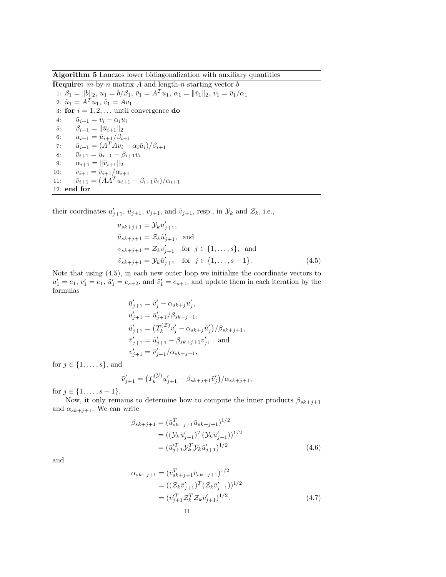Algorithm 5 Lanczos lower bidiagonalization with auxiliary quantities

**Require:**  $m$ -by-n matrix A and length-n starting vector  $b$ 1:  $\beta_1 = ||b||_2, u_1 = b/\beta_1, \bar{v}_1 = A^T u_1, \alpha_1 = ||\bar{v}_1||_2, v_1 = \bar{v}_1/\alpha_1$ 2:  $\tilde{u}_1 = A^T u_1, \, \tilde{v}_1 = A v_1$ 3: for  $i = 1, 2, \ldots$  until convergence do 4:  $\bar{u}_{i+1} = \tilde{v}_i - \alpha_i u_i$ 5:  $\beta_{i+1} = ||\bar{u}_{i+1}||_2$ 6:  $u_{i+1} = \bar{u}_{i+1}/\beta_{i+1}$ 7:  $\tilde{u}_{i+1} = (A^T A v_i - \alpha_i \tilde{u}_i)/\beta_{i+1}$ 8:  $\bar{v}_{i+1} = \tilde{u}_{i+1} - \beta_{i+1}v_i$ 9:  $\alpha_{i+1} = ||\bar{v}_{i+1}||_2$ 10:  $v_{i+1} = \bar{v}_{i+1}/\alpha_{i+1}$ 11:  $\tilde{v}_{i+1} = (AA^T u_{i+1} - \beta_{i+1} \tilde{v}_i)/\alpha_{i+1}$ 12: end for

their coordinates  $u'_{j+1}$ ,  $\tilde{u}_{j+1}$ ,  $v_{j+1}$ , and  $\tilde{v}_{j+1}$ , resp., in  $\mathcal{Y}_k$  and  $\mathcal{Z}_k$ , i.e.,

$$
u_{sk+j+1} = \mathcal{Y}_k u'_{j+1},
$$
  
\n
$$
\tilde{u}_{sk+j+1} = \mathcal{Z}_k \tilde{u}'_{j+1},
$$
 and  
\n
$$
v_{sk+j+1} = \mathcal{Z}_k v'_{j+1} \text{ for } j \in \{1, ..., s\},
$$
 and  
\n
$$
\tilde{v}_{sk+j+1} = \mathcal{Y}_k \tilde{u}'_{j+1} \text{ for } j \in \{1, ..., s-1\}.
$$
 (4.5)

Note that using (4.5), in each new outer loop we initialize the coordinate vectors to  $u'_1 = e_1, v'_1 = e_1, \tilde{u}'_1 = e_{s+2}$ , and  $\tilde{v}'_1 = e_{s+1}$ , and update them in each iteration by the formulas

$$
\begin{aligned}\n\bar{u}'_{j+1} &= \tilde{v}'_j - \alpha_{sk+j} u'_j, \\
u'_{j+1} &= \bar{u}'_{j+1}/\beta_{sk+j+1}, \\
\tilde{u}'_{j+1} &= \left( T_k^{(\mathcal{Z})} v'_j - \alpha_{sk+j} \tilde{u}'_j \right) / \beta_{sk+j+1}, \\
\bar{v}'_{j+1} &= \tilde{u}'_{j+1} - \beta_{sk+j+1} v'_j, \quad \text{and} \\
v'_{j+1} &= \bar{v}'_{j+1}/\alpha_{sk+j+1},\n\end{aligned}
$$

for  $j \in \{1, \ldots, s\}$ , and

$$
\tilde{v}'_{j+1} = (T_k^{(y)} u'_{j+1} - \beta_{sk+j+1} \tilde{v}'_j) / \alpha_{sk+j+1},
$$

for  $j \in \{1, \ldots, s-1\}.$ 

Now, it only remains to determine how to compute the inner products  $\beta_{sk+j+1}$ and  $\alpha_{sk+j+1}$ . We can write

$$
\beta_{sk+j+1} = (\bar{u}_{sk+j+1}^T \bar{u}_{sk+j+1})^{1/2}
$$
  
= ((\mathcal{Y}\_k \bar{u}\_{j+1}')^T (\mathcal{Y}\_k \bar{u}\_{j+1}')^{1/2}  
 = (\bar{u}\_{j+1}'^T \mathcal{Y}\_k^T \mathcal{Y}\_k \bar{u}\_{j+1}')^{1/2} (4.6)

and

$$
\alpha_{sk+j+1} = (\bar{v}_{sk+j+1}^T \bar{v}_{sk+j+1})^{1/2}
$$
  
=  $((\mathcal{Z}_k \bar{v}_{j+1}')^T (\mathcal{Z}_k \bar{v}_{j+1}')^{1/2}$   
=  $(\bar{v}_{j+1}'^T \mathcal{Z}_k^T \mathcal{Z}_k \bar{v}_{j+1}')^{1/2}$ . (4.7)  
11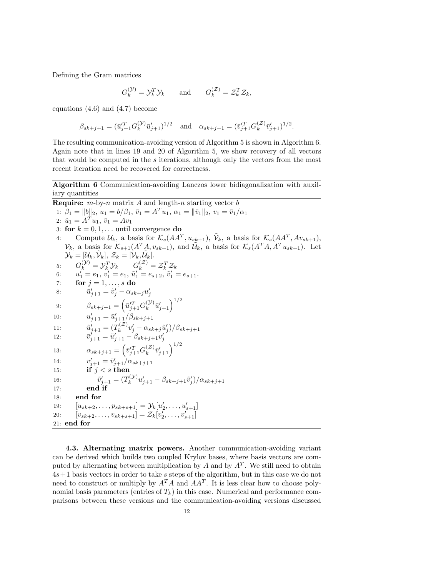Defining the Gram matrices

$$
G_k^{(\mathcal{Y})} = \mathcal{Y}_k^T \mathcal{Y}_k
$$
 and  $G_k^{(\mathcal{Z})} = \mathcal{Z}_k^T \mathcal{Z}_k$ ,

equations (4.6) and (4.7) become

$$
\beta_{sk+j+1}=(\bar{u}_{j+1}^{\prime T}G_{k}^{(\mathcal{Y})}\bar{u}_{j+1}^{\prime})^{1/2}\quad \text{and}\quad \alpha_{sk+j+1}=(\bar{v}_{j+1}^{\prime T}G_{k}^{(\mathcal{Z})}\bar{v}_{j+1}^{\prime})^{1/2}.
$$

The resulting communication-avoiding version of Algorithm 5 is shown in Algorithm 6. Again note that in lines 19 and 20 of Algorithm 5, we show recovery of all vectors that would be computed in the  $s$  iterations, although only the vectors from the most recent iteration need be recovered for correctness.

Algorithm 6 Communication-avoiding Lanczos lower bidiagonalization with auxiliary quantities

**Require:**  $m$ -by-n matrix A and length-n starting vector  $b$ 1:  $\beta_1 = ||b||_2, u_1 = b/\beta_1, \bar{v}_1 = A^T u_1, \alpha_1 = ||\bar{v}_1||_2, v_1 = \bar{v}_1/\alpha_1$ 2:  $\tilde{u}_1 = A^T u_1, \, \tilde{v}_1 = A v_1$ 3: for  $k = 0, 1, \ldots$  until convergence do 4: Compute  $\mathcal{U}_k$ , a basis for  $\mathcal{K}_s(AA^T, u_{sk+1}), \tilde{\mathcal{V}}_k$ , a basis for  $\mathcal{K}_s(AA^T, Av_{sk+1}),$  $\mathcal{V}_k$ , a basis for  $\mathcal{K}_{s+1}(A^T A, v_{sk+1}),$  and  $\mathcal{U}_k$ , a basis for  $\mathcal{K}_s(A^T A, A^T u_{sk+1}).$  Let  $\mathcal{Y}_k = [\mathcal{U}_k, \tilde{\mathcal{V}}_k], \, \mathcal{Z}_k = [\mathcal{V}_k, \tilde{\mathcal{U}}_k].$ 5:  $G_k^{(\mathcal{Y})} = \mathcal{Y}_k^T \mathcal{Y}_k \qquad G_k^{(\mathcal{Z})} = \mathcal{Z}_k^T \mathcal{Z}_k$ 6:  $u'_1 = e_1, v'_1 = e_1, \tilde{u}'_1 = e_{s+2}, \tilde{v}'_1 = e_{s+1}.$ 7: for  $j = 1, \ldots, s$  do 8:  $\bar{u}'_{j+1} = \tilde{v}'_j - \alpha_{sk+j} u'_j$ 9:  $\beta_{sk+j+1} = \left(\bar{u}_{j+1}^{\prime T} G_k^{(\mathcal{Y})}\right)$  $\left(\mathcal{Y}\right) \bar{u}'_{j+1}$  $\Big)^{1/2}$ 10:  $u'_{j+1} = \bar{u}'_{j+1}/\beta_{sk+j+1}$ 11:  $\tilde{u}'_{j+1} = (T_k^{(Z)})$  $\tilde{u}_k^{(\mathcal{Z})}v'_j - \alpha_{sk+j}\tilde{u}'_j)/\beta_{sk+j+1}$ 12:  $\overline{v}_{j+1}^{\prime} = \tilde{u}_{j+1}^{\prime} - \beta_{sk+j+1} v_j^{\prime}$ 13:  $\alpha_{sk+j+1} = \left(\bar{v}_{j+1}^{\prime T} G_k^{(\mathcal{Z})}\right)$  $_{k}^{(\mathcal{Z})}\bar{v}_{j+1}^{\prime}\Big)^{1/2}$ 14:  $v'_{j+1} = \bar{v}'_{j+1}/\alpha_{sk+j+1}$ 15: if  $j < s$  then  $16:$  $y'_{j+1} = (T_k^{(\mathcal{Y})})$  $\hat{u}_k^{( \mathcal{Y})} u'_{j+1} - \beta_{sk+j+1} \tilde{v}'_j )/ \alpha_{sk+j+1}$ 17: end if 18: end for 19:  $[u_{sk+2}, \ldots, p_{sk+s+1}] = \mathcal{Y}_k[u'_2, \ldots, u'_{s+1}]$ 20:  $[v_{sk+2}, \ldots, v_{sk+s+1}] = \mathcal{Z}_k[v'_2, \ldots, v'_{s+1}]$ 21: end for

4.3. Alternating matrix powers. Another communication-avoiding variant can be derived which builds two coupled Krylov bases, where basis vectors are computed by alternating between multiplication by  $A$  and by  $A<sup>T</sup>$ . We still need to obtain  $4s+1$  basis vectors in order to take s steps of the algorithm, but in this case we do not need to construct or multiply by  $A^T A$  and  $A A^T$ . It is less clear how to choose polynomial basis parameters (entries of  $T_k$ ) in this case. Numerical and performance comparisons between these versions and the communication-avoiding versions discussed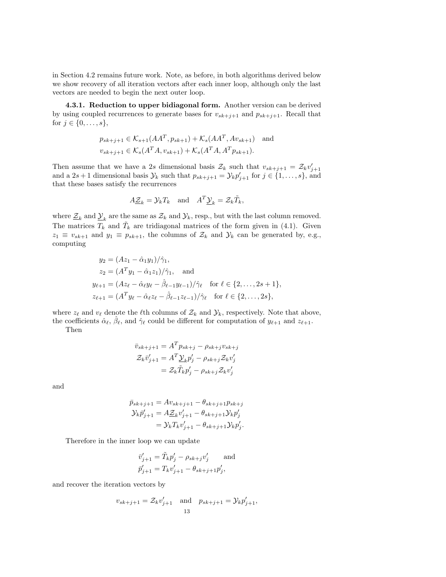in Section 4.2 remains future work. Note, as before, in both algorithms derived below we show recovery of all iteration vectors after each inner loop, although only the last vectors are needed to begin the next outer loop.

4.3.1. Reduction to upper bidiagonal form. Another version can be derived by using coupled recurrences to generate bases for  $v_{sk+j+1}$  and  $p_{sk+j+1}$ . Recall that for  $j \in \{0, ..., s\},\$ 

$$
p_{sk+j+1} \in \mathcal{K}_{s+1}(AA^T, p_{sk+1}) + \mathcal{K}_s(AA^T, Av_{sk+1}) \text{ and}
$$
  

$$
v_{sk+j+1} \in \mathcal{K}_s(A^T A, v_{sk+1}) + \mathcal{K}_s(A^T A, A^T p_{sk+1}).
$$

Then assume that we have a 2s dimensional basis  $\mathcal{Z}_k$  such that  $v_{sk+j+1} = \mathcal{Z}_k v'_{j+1}$ and a  $2s+1$  dimensional basis  $\mathcal{Y}_k$  such that  $p_{sk+j+1} = \mathcal{Y}_k p'_{j+1}$  for  $j \in \{1, \ldots, s\}$ , and that these bases satisfy the recurrences

$$
A\underline{\mathcal{Z}}_k = \mathcal{Y}_k T_k \quad \text{and} \quad A^T \underline{\mathcal{Y}}_k = \mathcal{Z}_k \tilde{T}_k,
$$

where  $\underline{\mathcal{Z}}_k$  and  $\underline{\mathcal{Y}}_k$  are the same as  $\mathcal{Z}_k$  and  $\mathcal{Y}_k$ , resp., but with the last column removed. The matrices  $T_k$  and  $\tilde{T}_k$  are tridiagonal matrices of the form given in (4.1). Given  $z_1 \equiv v_{sk+1}$  and  $y_1 \equiv p_{sk+1}$ , the columns of  $\mathcal{Z}_k$  and  $\mathcal{Y}_k$  can be generated by, e.g., computing

$$
y_2 = (Az_1 - \hat{\alpha}_1 y_1)/\hat{\gamma}_1,
$$
  
\n
$$
z_2 = (A^T y_1 - \hat{\alpha}_1 z_1)/\hat{\gamma}_1, \text{ and}
$$
  
\n
$$
y_{\ell+1} = (Az_{\ell} - \hat{\alpha}_{\ell} y_{\ell} - \hat{\beta}_{\ell-1} y_{\ell-1})/\hat{\gamma}_{\ell} \text{ for } \ell \in \{2, ..., 2s + 1\},
$$
  
\n
$$
z_{\ell+1} = (A^T y_{\ell} - \hat{\alpha}_{\ell} z_{\ell} - \hat{\beta}_{\ell-1} z_{\ell-1})/\hat{\gamma}_{\ell} \text{ for } \ell \in \{2, ..., 2s\},
$$

where  $z_{\ell}$  and  $v_{\ell}$  denote the  $\ell$ th columns of  $\mathcal{Z}_k$  and  $\mathcal{Y}_k$ , respectively. Note that above, the coefficients  $\hat{\alpha}_{\ell}, \hat{\beta}_{\ell}$ , and  $\hat{\gamma}_{\ell}$  could be different for computation of  $y_{\ell+1}$  and  $z_{\ell+1}$ .

Then

$$
\bar{v}_{sk+j+1} = A^T p_{sk+j} - \rho_{sk+j} v_{sk+j}
$$

$$
\mathcal{Z}_k \bar{v}'_{j+1} = A^T \underline{\mathcal{Y}}_k p'_j - \rho_{sk+j} \mathcal{Z}_k v'_j
$$

$$
= \mathcal{Z}_k \tilde{T}_k p'_j - \rho_{sk+j} \mathcal{Z}_k v'_j
$$

and

$$
\bar{p}_{sk+j+1} = Av_{sk+j+1} - \theta_{sk+j+1} p_{sk+j} \n\mathcal{Y}_{k}\bar{p}'_{j+1} = A\underline{\mathcal{Z}}_{k}v'_{j+1} - \theta_{sk+j+1}\mathcal{Y}_{k}p'_{j} \n= \mathcal{Y}_{k}T_{k}v'_{j+1} - \theta_{sk+j+1}\mathcal{Y}_{k}p'_{j}.
$$

Therefore in the inner loop we can update

$$
\begin{aligned} \bar{v}_{j+1}'&=\tilde{T}_kp_j'-\rho_{sk+j}v_j' \qquad \text{and}\\ \bar{p}_{j+1}'&=T_kv_{j+1}'-\theta_{sk+j+1}p_j', \end{aligned}
$$

and recover the iteration vectors by

$$
v_{sk+j+1} = \mathcal{Z}_k v'_{j+1}
$$
 and  $p_{sk+j+1} = \mathcal{Y}_k p'_{j+1}$ ,  
13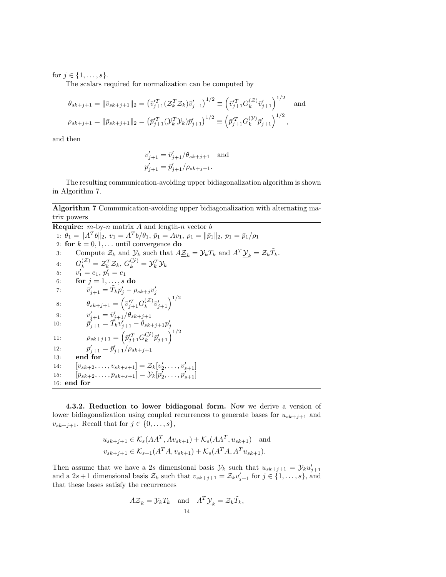for  $j \in \{1, ..., s\}$ .

The scalars required for normalization can be computed by

$$
\theta_{sk+j+1} = \|\bar{v}_{sk+j+1}\|_2 = \left(\bar{v}_{j+1}^T (\mathcal{Z}_k^T \mathcal{Z}_k) \bar{v}_{j+1}'\right)^{1/2} \equiv \left(\bar{v}_{j+1}^T G_k^{(\mathcal{Z})} \bar{v}_{j+1}'\right)^{1/2} \text{ and}
$$
  

$$
\rho_{sk+j+1} = \|\bar{p}_{sk+j+1}\|_2 = \left(\bar{p}_{j+1}^T (\mathcal{Y}_k^T \mathcal{Y}_k) \bar{p}_{j+1}'\right)^{1/2} \equiv \left(\bar{p}_{j+1}^T G_k^{(\mathcal{Y})} \bar{p}_{j+1}'\right)^{1/2},
$$

and then

$$
v'_{j+1} = \bar{v}'_{j+1}/\theta_{sk+j+1}
$$
 and  
 $p'_{j+1} = \bar{p}'_{j+1}/\rho_{sk+j+1}$ .

The resulting communication-avoiding upper bidiagonalization algorithm is shown in Algorithm 7.

Algorithm 7 Communication-avoiding upper bidiagonalization with alternating matrix powers

**Require:**  $m$ -by-n matrix A and length-n vector  $b$ 1:  $\theta_1 = ||A^T b||_2, v_1 = A^T b/\theta_1, \bar{p}_1 = Av_1, \rho_1 = ||\bar{p}_1||_2, p_1 = \bar{p}_1/\rho_1$ 2: for  $k = 0, 1, \dots$  until convergence do 3: Compute  $\mathcal{Z}_k$  and  $\mathcal{Y}_k$  such that  $A\underline{\mathcal{Z}}_k = \mathcal{Y}_k T_k$  and  $A^T \underline{\mathcal{Y}}_k = \mathcal{Z}_k \tilde{T}_k$ . 4:  $G_k^{(\mathcal{Z})} = \mathcal{Z}_k^T \mathcal{Z}_k, G_k^{(\mathcal{Y})} = \mathcal{Y}_k^T \mathcal{Y}_k$ 5:  $v'_1 = e_1, p'_1 = e_1$ 6: for  $j = 1, \ldots, s$  do 7:  $\bar{v}'_{j+1} = \tilde{T}_k p'_j - \rho_{sk+j} v'_j$ 8:  $\theta_{sk+j+1} = \left(\bar{v}_{j+1}^{\prime T} G_k^{(\mathcal{Z})}\right)$  $_{k}^{(\mathcal{Z})}\bar{v}_{j+1}^{\prime}\Big)^{1/2}$ 9:  $v'_{j+1} = \bar{v}'_{j+1}/\theta_{sk+j+1}$ 10:  $\vec{p}_{j+1}' = \vec{T}_k v'_{j+1} - \theta_{sk+j+1} p'_j$ 11:  $\rho_{sk+j+1} = \left( \bar{p}_{j+1}^{\prime T} G_k^{(\mathcal{Y})} \right)$  $\left(\begin{smallmatrix} \mathcal{Y} \ \mathcal{Y} \end{smallmatrix} \right) \bar{p}_{j+1}^\prime \Big)^{1/2}$ 12:  $p'_{j+1} = \bar{p}'_{j+1}/\rho_{sk+j+1}$ 13: end for 14:  $[v_{sk+2}, \ldots, v_{sk+s+1}] = \mathcal{Z}_k[v'_2, \ldots, v'_{s+1}]$ 15:  $[p_{sk+2}, \ldots, p_{sk+s+1}] = \mathcal{Y}_k[p'_2, \ldots, p'_{s+1}]$ 16: end for

4.3.2. Reduction to lower bidiagonal form. Now we derive a version of lower bidiagonalization using coupled recurrences to generate bases for  $u_{sk+j+1}$  and  $v_{sk+j+1}$ . Recall that for  $j \in \{0, \ldots, s\},$ 

$$
u_{sk+j+1} \in \mathcal{K}_s(AA^T, Av_{sk+1}) + \mathcal{K}_s(AA^T, u_{sk+1}) \text{ and}
$$
  

$$
v_{sk+j+1} \in \mathcal{K}_{s+1}(A^T A, v_{sk+1}) + \mathcal{K}_s(A^T A, A^T u_{sk+1}).
$$

Then assume that we have a 2s dimensional basis  $\mathcal{Y}_k$  such that  $u_{sk+j+1} = \mathcal{Y}_k u'_{j+1}$ and a  $2s+1$  dimensional basis  $\mathcal{Z}_k$  such that  $v_{sk+j+1} = \mathcal{Z}_k v'_{j+1}$  for  $j \in \{1, \ldots, s\}$ , and that these bases satisfy the recurrences

$$
A\underline{\mathcal{Z}}_k = \mathcal{Y}_k T_k \quad \text{and} \quad A^T \underline{\mathcal{Y}}_k = \mathcal{Z}_k \tilde{T}_k,
$$
  
14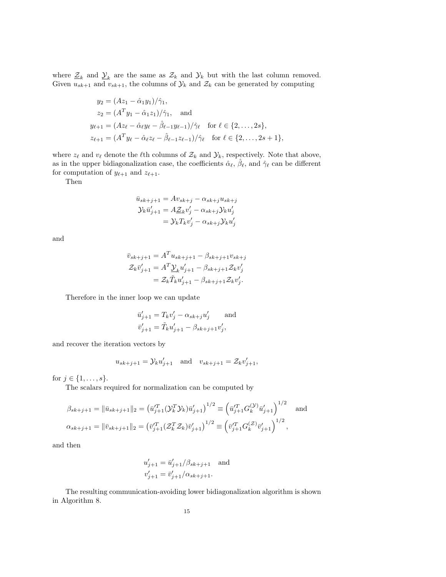where  $\underline{\mathcal{Z}}_k$  and  $\underline{\mathcal{Y}}_k$  are the same as  $\mathcal{Z}_k$  and  $\mathcal{Y}_k$  but with the last column removed. Given  $u_{sk+1}$  and  $v_{sk+1}$ , the columns of  $\mathcal{Y}_k$  and  $\mathcal{Z}_k$  can be generated by computing

$$
y_2 = (Az_1 - \hat{\alpha}_1 y_1) / \hat{\gamma}_1,
$$
  
\n
$$
z_2 = (A^T y_1 - \hat{\alpha}_1 z_1) / \hat{\gamma}_1,
$$
 and  
\n
$$
y_{\ell+1} = (Az_{\ell} - \hat{\alpha}_{\ell} y_{\ell} - \hat{\beta}_{\ell-1} y_{\ell-1}) / \hat{\gamma}_{\ell} \text{ for } \ell \in \{2, ..., 2s\},
$$
  
\n
$$
z_{\ell+1} = (A^T y_{\ell} - \hat{\alpha}_{\ell} z_{\ell} - \hat{\beta}_{\ell-1} z_{\ell-1}) / \hat{\gamma}_{\ell} \text{ for } \ell \in \{2, ..., 2s + 1\},
$$

where  $z_\ell$  and  $v_\ell$  denote the  $\ell$ th columns of  $\mathcal{Z}_k$  and  $\mathcal{Y}_k$ , respectively. Note that above, as in the upper bidiagonalization case, the coefficients  $\hat{\alpha}_{\ell}$ ,  $\hat{\beta}_{\ell}$ , and  $\hat{\gamma}_{\ell}$  can be different for computation of  $y_{\ell+1}$  and  $z_{\ell+1}$ .

Then

$$
\bar{u}_{sk+j+1} = Av_{sk+j} - \alpha_{sk+j} u_{sk+j}
$$

$$
\mathcal{Y}_k \bar{u}'_{j+1} = A\underline{\mathcal{Z}}_k v'_j - \alpha_{sk+j} \mathcal{Y}_k u'_j
$$

$$
= \mathcal{Y}_k T_k v'_j - \alpha_{sk+j} \mathcal{Y}_k u'_j
$$

and

$$
\bar{v}_{sk+j+1} = A^T u_{sk+j+1} - \beta_{sk+j+1} v_{sk+j} \n\mathcal{Z}_k \bar{v}'_{j+1} = A^T \underline{\mathcal{Y}}_k u'_{j+1} - \beta_{sk+j+1} \mathcal{Z}_k v'_j \n= \mathcal{Z}_k \tilde{T}_k u'_{j+1} - \beta_{sk+j+1} \mathcal{Z}_k v'_j.
$$

Therefore in the inner loop we can update

$$
\bar{u}'_{j+1} = T_k v'_j - \alpha_{sk+j} u'_j
$$
 and  
\n $\bar{v}'_{j+1} = \tilde{T}_k u'_{j+1} - \beta_{sk+j+1} v'_j$ ,

and recover the iteration vectors by

$$
u_{sk+j+1} = \mathcal{Y}_k u'_{j+1}
$$
 and  $v_{sk+j+1} = \mathcal{Z}_k v'_{j+1}$ ,

for  $j \in \{1, ..., s\}$ .

The scalars required for normalization can be computed by

$$
\beta_{sk+j+1} = \|\bar{u}_{sk+j+1}\|_2 = \left(\bar{u}_{j+1}^{T}(\mathcal{Y}_k^{T}\mathcal{Y}_k)\bar{u}_{j+1}'\right)^{1/2} \equiv \left(\bar{u}_{j+1}^{T}G_k^{(\mathcal{Y})}\bar{u}_{j+1}'\right)^{1/2} \text{ and}
$$

$$
\alpha_{sk+j+1} = \|\bar{v}_{sk+j+1}\|_2 = \left(\bar{v}_{j+1}^{T}(\mathcal{Z}_k^{T}\mathcal{Z}_k)\bar{v}_{j+1}'\right)^{1/2} \equiv \left(\bar{v}_{j+1}^{T}G_k^{(\mathcal{Z})}\bar{v}_{j+1}'\right)^{1/2},
$$

and then

$$
u'_{j+1} = \bar{u}'_{j+1}/\beta_{sk+j+1}
$$
 and  

$$
v'_{j+1} = \bar{v}'_{j+1}/\alpha_{sk+j+1}.
$$

The resulting communication-avoiding lower bidiagonalization algorithm is shown in Algorithm 8.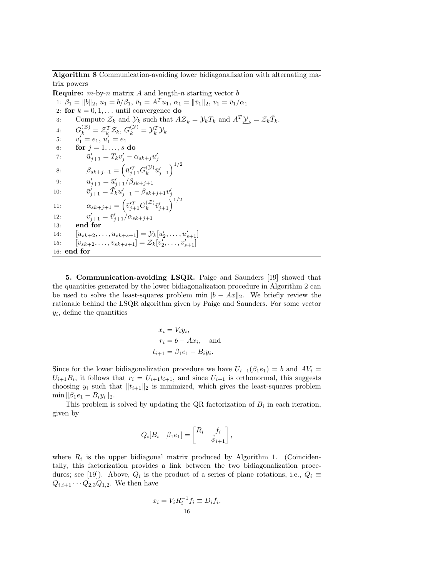Algorithm 8 Communication-avoiding lower bidiagonalization with alternating matrix powers

**Require:**  $m$ -by-n matrix A and length-n starting vector  $b$ 1:  $\beta_1 = ||b||_2, u_1 = b/\beta_1, \bar{v}_1 = A^T u_1, \alpha_1 = ||\bar{v}_1||_2, v_1 = \bar{v}_1/\alpha_1$ 2: for  $k = 0, 1, \ldots$  until convergence do 3: Compute  $\mathcal{Z}_k$  and  $\mathcal{Y}_k$  such that  $A\underline{\mathcal{Z}}_k = \mathcal{Y}_k T_k$  and  $A^T \underline{\mathcal{Y}}_k = \mathcal{Z}_k \tilde{T}_k$ . 4:  $G_k^{(\mathcal{Z})} = \mathcal{Z}_k^T \mathcal{Z}_k, G_k^{(\mathcal{Y})} = \mathcal{Y}_k^T \mathcal{Y}_k$ 5:  $v'_1 = e_1, u'_1 = e_1$ 6: for  $j = 1, \ldots, s$  do 7:  $\bar{u}'_{j+1} = T_k v'_j - \alpha_{sk+j} u'_j$ 8:  $\beta_{sk+j+1} = \left(\bar{u}_{j+1}^{\prime T} G_k^{(\mathcal{Y})}\right)$  $\left(\mathcal{Y}\right) \bar{u}'_{j+1}$ 9:  $u'_{j+1} = \bar{u}'_{j+1}/\beta_{sk+j+1}$ 10:  $\bar{v}'_{j+1} = \tilde{T}_k u'_{j+1} - \beta_{sk+j+1} v'_j$ 11:  $\alpha_{sk+j+1} = \left(\bar{v}_{j+1}^{\prime T} G_k^{(\mathcal{Z})}\right)$  $_{k}^{(\mathcal{Z})}\bar{v}_{j+1}^{\prime}\Big)^{1/2}$ 12:  $v'_{j+1} = \bar{v}'_{j+1}/\alpha_{sk+j+1}$ 13: end for 14:  $[u_{sk+2}, \ldots, u_{sk+s+1}] = \mathcal{Y}_k[u'_2, \ldots, u'_{s+1}]$ 15:  $[v_{sk+2}, \ldots, v_{sk+s+1}] = \mathcal{Z}_k[v'_2, \ldots, v'_{s+1}]$ 16: end for

5. Communication-avoiding LSQR. Paige and Saunders [19] showed that the quantities generated by the lower bidiagonalization procedure in Algorithm 2 can be used to solve the least-squares problem min  $||b - Ax||_2$ . We briefly review the rationale behind the LSQR algorithm given by Paige and Saunders. For some vector  $y_i$ , define the quantities

$$
x_i = V_i y_i,
$$
  
\n
$$
r_i = b - Ax_i, \text{ and}
$$
  
\n
$$
t_{i+1} = \beta_1 e_1 - B_i y_i.
$$

Since for the lower bidiagonalization procedure we have  $U_{i+1}(\beta_1 e_1) = b$  and  $AV_i =$  $U_{i+1}B_i$ , it follows that  $r_i = U_{i+1}t_{i+1}$ , and since  $U_{i+1}$  is orthonormal, this suggests choosing  $y_i$  such that  $||t_{i+1}||_2$  is minimized, which gives the least-squares problem min  $\|\beta_1e_1 - B_iy_i\|_2$ .

This problem is solved by updating the QR factorization of  $B_i$  in each iteration, given by

$$
Q_i[B_i \quad \beta_1 e_1] = \begin{bmatrix} R_i & f_i \\ & \tilde{\phi}_{i+1} \end{bmatrix},
$$

where  $R_i$  is the upper bidiagonal matrix produced by Algorithm 1. (Coincidentally, this factorization provides a link between the two bidiagonalization procedures; see [19]). Above,  $Q_i$  is the product of a series of plane rotations, i.e.,  $Q_i \equiv$  $Q_{i,i+1} \cdots Q_{2,3} Q_{1,2}$ . We then have

$$
x_i = V_i R_i^{-1} f_i \equiv D_i f_i,
$$
  
16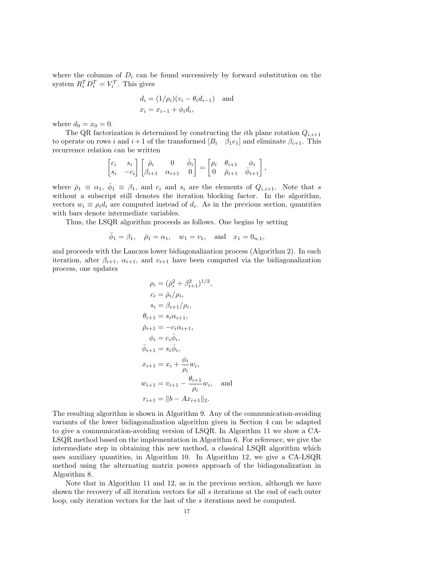where the columns of  $D_i$  can be found successively by forward substitution on the system  $R_i^T D_i^T = V_i^T$ . This gives

$$
d_i = (1/\rho_i)(v_i - \theta_i d_{i-1}) \text{ and}
$$
  

$$
x_i = x_{i-1} + \phi_i d_i,
$$

where  $d_0 = x_0 = 0$ .

The QR factorization is determined by constructing the *i*th plane rotation  $Q_{i,i+1}$ to operate on rows i and  $i+1$  of the transformed  $[B_i \quad \beta_1 e_1]$  and eliminate  $\beta_{i+1}$ . This recurrence relation can be written

$$
\begin{bmatrix} c_i & s_i \\ s_i & -c_i \end{bmatrix} \begin{bmatrix} \bar{\rho}_i & 0 & \bar{\phi}_i \\ \beta_{i+1} & \alpha_{i+1} & 0 \end{bmatrix} = \begin{bmatrix} \rho_i & \theta_{i+1} & \phi_i \\ 0 & \bar{\rho}_{i+1} & \bar{\phi}_{i+1} \end{bmatrix},
$$

where  $\bar{\rho}_1 \equiv \alpha_1, \bar{\phi}_1 \equiv \beta_1$ , and  $c_i$  and  $s_i$  are the elements of  $Q_{i,i+1}$ . Note that s without a subscript still denotes the iteration blocking factor. In the algorithm, vectors  $w_i \equiv \rho_i d_i$  are computed instead of  $d_i$ . As in the previous section, quantities with bars denote intermediate variables.

Thus, the LSQR algorithm proceeds as follows. One begins by setting

$$
\bar{\phi}_1 = \beta_1, \quad \bar{\rho}_1 = \alpha_1, \quad w_1 = v_1, \quad \text{and} \quad x_1 = 0_{n,1},
$$

and proceeds with the Lanczos lower bidiagonalization process (Algorithm 2). In each iteration, after  $\beta_{i+1}$ ,  $\alpha_{i+1}$ , and  $v_{i+1}$  have been computed via the bidiagonalization process, one updates

$$
\rho_i = (\bar{\rho}_i^2 + \beta_{i+1}^2)^{1/2},
$$
  
\n
$$
c_i = \bar{\rho}_i / \rho_i,
$$
  
\n
$$
s_i = \beta_{i+1} / \rho_i,
$$
  
\n
$$
\theta_{i+1} = s_i \alpha_{i+1},
$$
  
\n
$$
\bar{\rho}_{i+1} = -c_i \alpha_{i+1},
$$
  
\n
$$
\phi_i = c_i \bar{\phi}_i,
$$
  
\n
$$
\bar{\phi}_{i+1} = s_i \bar{\phi}_i,
$$
  
\n
$$
x_{i+1} = x_i + \frac{\phi_i}{\rho_i} w_i,
$$
  
\n
$$
w_{i+1} = v_{i+1} - \frac{\theta_{i+1}}{\rho_i} w_i,
$$
 and  
\n
$$
r_{i+1} = ||b - Ax_{i+1}||_2.
$$

The resulting algorithm is shown in Algorithm 9. Any of the communication-avoiding variants of the lower bidiagonalization algorithm given in Section 4 can be adapted to give a communication-avoiding version of LSQR. In Algorithm 11 we show a CA-LSQR method based on the implementation in Algorithm 6. For reference, we give the intermediate step in obtaining this new method, a classical LSQR algorithm which uses auxiliary quantities, in Algorithm 10. In Algorithm 12, we give a CA-LSQR method using the alternating matrix powers approach of the bidiagonalization in Algorithm 8.

Note that in Algorithm 11 and 12, as in the previous section, although we have shown the recovery of all iteration vectors for all s iterations at the end of each outer loop, only iteration vectors for the last of the s iterations need be computed.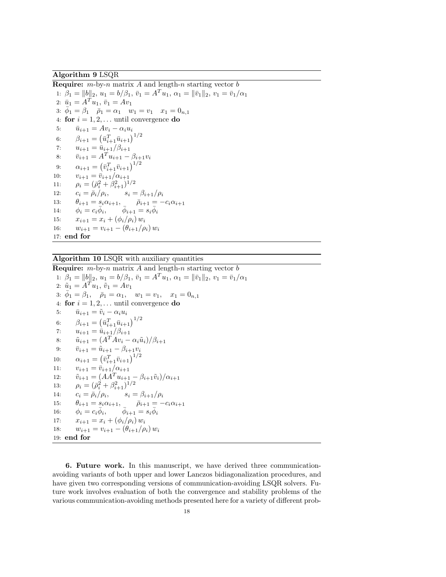### Algorithm 9 LSQR

**Require:**  $m$ -by-n matrix A and length-n starting vector  $b$ 1:  $\beta_1 = ||b||_2, u_1 = b/\beta_1, \bar{v}_1 = A^T u_1, \alpha_1 = ||\bar{v}_1||_2, v_1 = \bar{v}_1/\alpha_1$ 2:  $\bar{u}_1 = A^T u_1, \, \bar{v}_1 = A v_1$ 3:  $\bar{\phi}_1 = \beta_1 \quad \bar{\rho}_1 = \alpha_1 \quad w_1 = v_1 \quad x_1 = 0_{n,1}$ 4: for  $i = 1, 2, \ldots$  until convergence do 5:  $\overline{u}_{i+1} = Av_i - \alpha_i u_i$ 6:  $\beta_{i+1} = (\bar{u}_{i+1}^T \bar{u}_{i+1})^{1/2}$ 7:  $u_{i+1} = \bar{u}_{i+1}/\beta_{i+1}$ 8:  $\bar{v}_{i+1} = A^T u_{i+1} - \beta_{i+1} v_i$ 9:  $\alpha_{i+1} = (\bar{v}_{i+1}^T \bar{v}_{i+1})^{1/2}$ 10:  $v_{i+1} = \overline{v}_{i+1}/\alpha_{i+1}$ 11:  $\rho_i = (\bar{\rho}_i^2 + \beta_{i+1}^2)^{1/2}$ 12:  $c_i = \bar{\rho}_i / \rho_i, \qquad s_i = \beta_{i+1} / \rho_i$ 13:  $\theta_{i+1} = s_i \alpha_{i+1}, \qquad \bar{\rho}_{i+1} = -c_i \alpha_{i+1}$ 14:  $\phi_i = c_i \bar{\phi}_i$ ,  $\bar{\phi}_{i+1} = s_i \bar{\phi}_i$ 15:  $x_{i+1} = x_i + (\phi_i/\rho_i) w_i$ 16:  $w_{i+1} = v_{i+1} - (\theta_{i+1}/\rho_i) w_i$ 17: end for

Algorithm 10 LSQR with auxiliary quantities

**Require:**  $m$ -by-n matrix A and length-n starting vector  $b$ 1:  $\beta_1 = ||b||_2, u_1 = b/\beta_1, \bar{v}_1 = A^T u_1, \alpha_1 = ||\bar{v}_1||_2, v_1 = \bar{v}_1/\alpha_1$ 2:  $\tilde{u}_1 = A^T u_1, \, \tilde{v}_1 = A v_1$ 3:  $\bar{\phi}_1 = \beta_1$ ,  $\bar{\rho}_1 = \alpha_1$ ,  $w_1 = v_1$ ,  $x_1 = 0_{n,1}$ 4: for  $i = 1, 2, \ldots$  until convergence do 5:  $\bar{u}_{i+1} = \tilde{v}_i - \alpha_i u_i$ 6:  $\beta_{i+1} = (\bar{u}_{i+1}^T \bar{u}_{i+1})^{1/2}$ 7:  $u_{i+1} = \bar{u}_{i+1}/\beta_{i+1}$ 8:  $\tilde{u}_{i+1} = (A^T A v_i - \alpha_i \tilde{u}_i)/\beta_{i+1}$ 9:  $\bar{v}_{i+1} = \tilde{u}_{i+1} - \beta_{i+1}v_i$ 10:  $\alpha_{i+1} = (\bar{v}_{i+1}^T \bar{v}_{i+1})^{1/2}$ 11:  $v_{i+1} = \bar{v}_{i+1}/\alpha_{i+1}$ 12:  $\tilde{v}_{i+1} = (A A^T u_{i+1} - \beta_{i+1} \tilde{v}_i)/\alpha_{i+1}$ 13:  $\rho_i = (\bar{\rho}_i^2 + \beta_{i+1}^2)^{1/2}$ 14:  $c_i = \bar{\rho}_i / \rho_i, \qquad s_i = \beta_{i+1} / \rho_i$ 15:  $\theta_{i+1} = s_i \alpha_{i+1}, \quad \bar{\rho}_{i+1} = -c_i \alpha_{i+1}$ 16:  $\phi_i = c_i \bar{\phi}_i, \qquad \bar{\phi}_{i+1} = s_i \bar{\phi}_i$ 17:  $x_{i+1} = x_i + (\phi_i/\rho_i) w_i$ 18:  $w_{i+1} = v_{i+1} - (\theta_{i+1}/\rho_i) w_i$ 19: end for

6. Future work. In this manuscript, we have derived three communicationavoiding variants of both upper and lower Lanczos bidiagonalization procedures, and have given two corresponding versions of communication-avoiding LSQR solvers. Future work involves evaluation of both the convergence and stability problems of the various communication-avoiding methods presented here for a variety of different prob-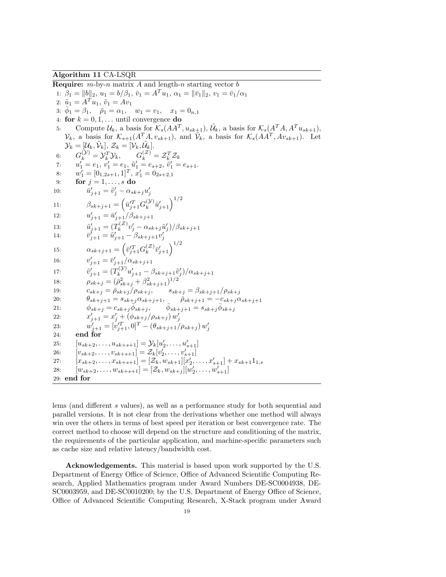#### Algorithm 11 CA-LSQR

**Require:**  $m$ -by-n matrix A and length-n starting vector  $b$ 1:  $\beta_1 = ||b||_2, u_1 = b/\beta_1, \bar{v}_1 = A^T u_1, \alpha_1 = ||\bar{v}_1||_2, v_1 = \bar{v}_1/\alpha_1$ 2:  $\tilde{u}_1 = A^T u_1, \, \tilde{v}_1 = A v_1$ 3:  $\bar{\phi}_1 = \beta_1$ ,  $\bar{\rho}_1 = \alpha_1$ ,  $w_1 = v_1$ ,  $x_1 = 0_{n,1}$ 4: for  $k = 0, 1, \dots$  until convergence do 5: Compute  $\mathcal{U}_k$ , a basis for  $\mathcal{K}_s(AA^T, u_{sk+1}), \tilde{\mathcal{U}}_k$ , a basis for  $\mathcal{K}_s(A^T A, A^T u_{sk+1}),$  $\mathcal{V}_k$ , a basis for  $\mathcal{K}_{s+1}(A^T A, v_{sk+1})$ , and  $\mathcal{V}_k$ , a basis for  $\mathcal{K}_s(AA^T, A v_{sk+1})$ . Let  $\mathcal{Y}_k = [\mathcal{U}_k, \tilde{\mathcal{V}}_k], \, \mathcal{Z}_k = [\mathcal{V}_k, \tilde{\mathcal{U}}_k].$ 6:  $G_k^{(\mathcal{Y})} = \mathcal{Y}_k^T \mathcal{Y}_k, \qquad G_k^{(\mathcal{Z})} = \mathcal{Z}_k^T \mathcal{Z}_k$ 7:  $u'_1 = e_1, v'_1 = e_1, \tilde{u}'_1 = e_{s+2}, \tilde{v}'_1 = e_{s+1}.$ 8:  $w'_1 = [0_{1,2s+1}, 1]^T$ ,  $x'_1 = 0_{2s+2,1}$ 9: for  $j = 1, \ldots, s$  do 10:  $\bar{u}'_{j+1} = \tilde{v}'_j - \alpha_{sk+j} u'_j$ 11:  $\beta_{sk+j+1} = \left(\bar{u}_{j+1}^{T} G_k^{(y)}\right)$  $\left(\mathcal{Y}\right) \bar{u}'_{j+1}$  $12:$  $\tilde{u}'_{j+1} = \tilde{u}'_{j+1}/\beta_{sk+j+1}$ 13:  $\tilde{u}'_{j+1} = (T_k^{(z)})$  $\tilde{u}_k^{(\mathcal{Z})} v'_j - \alpha_{sk+j} \tilde{u}'_j )/ \beta_{sk+j+1}$ 14:  $\bar{v}_{j+1}^j = \tilde{u}_{j+1}^j - \beta_{sk+j+1}v_j^j$ 15:  $\alpha_{sk+j+1} = \left(\bar{v}_{j+1}^{\prime T} G_k^{(\mathcal{Z})}\right)$  $_{k}^{(\mathcal{Z})}\bar{v}_{j+1}^{\prime}\Big)^{1/2}$ 16:  $v'_{j+1} = \bar{v}'_{j+1}/\alpha_{sk+j+1}$  $17:$  $y'_{j+1} = (T_k^{(\mathcal{Y})})$  $\hat{u}_k^{( \mathcal{Y})} u'_{j+1} - \beta_{sk+j+1} \tilde{v}'_j )/ \alpha_{sk+j+1}$ 18:  $\rho_{sk+j} = (\bar{\rho}_{sk+j}^2 + \beta_{sk+j+1}^2)^{1/2}$ 19:  $c_{sk+j} = \bar{\rho}_{sk+j}/\rho_{sk+j}, \qquad s_{sk+j} = \beta_{sk+j+1}/\rho_{sk+j}$ 20:  $\theta_{sk+j+1} = s_{sk+j}\alpha_{sk+j+1}, \qquad \bar{\rho}_{sk+j+1} = -c_{sk+j}\alpha_{sk+j+1}$ 21:  $\phi_{sk+j} = c_{sk+j} \overline{\phi}_{sk+j}, \qquad \overline{\phi}_{sk+j+1} = s_{sk+j} \overline{\phi}_{sk+j}$ 22:  $x'_{j+1} = x'_{j} + (\phi_{sk+j}/\rho_{sk+j}) w'_{j}$ 23:  $w'_{j+1} = [v'^T_{j+1}, 0]^T - (\theta_{sk+j+1}/\rho_{sk+j}) w'_j$ 24: end for 25:  $[u_{sk+2}, \ldots, u_{sk+s+1}] = \mathcal{Y}_k[u'_2, \ldots, u'_{s+1}]$ 26:  $[v_{sk+2}, \ldots, v_{sk+s+1}] = \mathcal{Z}_k[v'_2, \ldots, v'_{s+1}]$ 27:  $[x_{sk+2}, \ldots, x_{sk+s+1}] = [\mathcal{Z}_k, w_{sk+1}][x'_2, \ldots, x'_{s+1}] + x_{sk+1}1_{1,s}$ 28:  $[w_{sk+2}, \ldots, w_{sk+s+1}] = [\mathcal{Z}_k, w_{sk+j}][w'_2, \ldots, w'_{s+1}]$ 29: end for

lems (and different s values), as well as a performance study for both sequential and parallel versions. It is not clear from the derivations whether one method will always win over the others in terms of best speed per iteration or best convergence rate. The correct method to choose will depend on the structure and conditioning of the matrix, the requirements of the particular application, and machine-specific parameters such as cache size and relative latency/bandwidth cost.

Acknowledgements. This material is based upon work supported by the U.S. Department of Energy Office of Science, Office of Advanced Scientific Computing Research, Applied Mathematics program under Award Numbers DE-SC0004938, DE-SC0003959, and DE-SC0010200; by the U.S. Department of Energy Office of Science, Office of Advanced Scientific Computing Research, X-Stack program under Award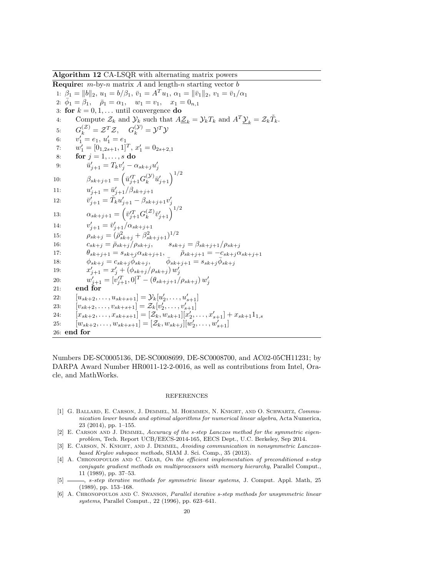Algorithm 12 CA-LSQR with alternating matrix powers

**Require:**  $m$ -by-n matrix A and length-n starting vector b 1:  $\beta_1 = ||b||_2, u_1 = b/\beta_1, \bar{v}_1 = A^T u_1, \alpha_1 = ||\bar{v}_1||_2, v_1 = \bar{v}_1/\alpha_1$ 2:  $\bar{\phi}_1 = \hat{\beta}_1$ ,  $\bar{\rho}_1 = \alpha_1$ ,  $w_1 = v_1$ ,  $x_1 = 0$ <sub>n,1</sub> 3: for  $k = 0, 1, \ldots$  until convergence do 4: Compute  $\mathcal{Z}_k$  and  $\mathcal{Y}_k$  such that  $A\underline{\mathcal{Z}}_k = \mathcal{Y}_k T_k$  and  $A^T \underline{\mathcal{Y}}_k = \mathcal{Z}_k \tilde{T}_k$ . 5:  $G_k^{(\mathcal{Z})} = \mathcal{Z}^T \mathcal{Z}, \quad G_k^{(\mathcal{Y})} = \mathcal{Y}^T \mathcal{Y}$ 6:  $v'_1 = e_1, u'_1 = e_1$ 7:  $w'_1 = [0_{1,2s+1}, 1]^T$ ,  $x'_1 = 0_{2s+2,1}$ 8: for  $j = 1, \ldots, s$  do 9:  $\bar{u}'_{j+1} = T_k v'_j - \alpha_{sk+j} u'_j$ 10:  $\beta_{sk+j+1} = \left(\bar{u}_{j+1}^{\prime T} G_k^{(\mathcal{Y})}\right)$  $_{k}^{(\mathcal{Y})}\bar{u}_{j+1}'\Big)^{1/2}$ 11:  $u'_{j+1} = \bar{u}'_{j+1}/\beta_{sk+j+1}$ 12:  $\overline{v}'_{j+1} = \tilde{T}_k u'_{j+1} - \beta_{sk+j+1} v'_j$ 13:  $\alpha_{sk+j+1} = \left(\bar{v}_{j+1}^{\prime T} G_k^{(\mathcal{Z})}\right)$  $_{k}^{(\mathcal{Z})}\bar{v}_{j+1}^{\prime}\Big)^{1/2}$  $14:$  $\bar{v}'_{j+1} = \bar{v}'_{j+1}/\alpha_{sk+j+1}$ 15:  $\rho_{sk+j} = (\bar{\rho}_{sk+j}^2 + \beta_{sk+j+1}^2)^{1/2}$ 16:  $c_{sk+j} = \bar{\rho}_{sk+j}/\rho_{sk+j}, \qquad s_{sk+j} = \beta_{sk+j+1}/\rho_{sk+j}$ 17:  $\theta_{sk+j+1} = s_{sk+j}\alpha_{sk+j+1}, \qquad \bar{\rho}_{sk+j+1} = -c_{sk+j}\alpha_{sk+j+1}$ 18:  $\phi_{sk+j} = c_{sk+j} \overline{\phi}_{sk+j}, \qquad \overline{\phi}_{sk+j+1} = s_{sk+j} \overline{\phi}_{sk+j}$ 19:  $x'_{j+1} = x'_{j} + (\phi_{sk+j}/\rho_{sk+j}) w'_{j}$ 20:  $w'_{j+1} = [v'^T_{j+1}, 0]^T - (\theta_{sk+j+1}/\rho_{sk+j}) w'_j$ 21: end for 22:  $[u_{sk+2}, \ldots, u_{sk+s+1}] = \mathcal{Y}_k[u'_2, \ldots, u'_{s+1}]$ 23:  $[v_{sk+2}, \ldots, v_{sk+s+1}] = \mathcal{Z}_k[v'_2, \ldots, v'_{s+1}]$ 24:  $[x_{sk+2}, \ldots, x_{sk+s+1}] = [\mathcal{Z}_k, w_{sk+1}][x'_2, \ldots, x'_{s+1}] + x_{sk+1}1_{1,s}$ 25:  $[w_{sk+2}, \ldots, w_{sk+s+1}] = [\mathcal{Z}_k, w_{sk+j}][w'_2, \ldots, w'_{s+1}]$ 26: end for

Numbers DE-SC0005136, DE-SC0008699, DE-SC0008700, and AC02-05CH11231; by DARPA Award Number HR0011-12-2-0016, as well as contributions from Intel, Oracle, and MathWorks.

#### REFERENCES

- [1] G. Ballard, E. Carson, J. Demmel, M. Hoemmen, N. Knight, and O. Schwartz, Communication lower bounds and optimal algorithms for numerical linear algebra, Acta Numerica, 23 (2014), pp. 1–155.
- [2] E. CARSON AND J. DEMMEL, Accuracy of the s-step Lanczos method for the symmetric eigenproblem, Tech. Report UCB/EECS-2014-165, EECS Dept., U.C. Berkeley, Sep 2014.
- [3] E. CARSON, N. KNIGHT, AND J. DEMMEL, Avoiding communication in nonsymmetric Lanczosbased Krylov subspace methods, SIAM J. Sci. Comp., 35 (2013).
- [4] A. CHRONOPOULOS AND C. GEAR, On the efficient implementation of preconditioned s-step conjugate gradient methods on multiprocessors with memory hierarchy, Parallel Comput., 11 (1989), pp. 37–53.
- [5]  $\_\_\_\_\$ g s-step iterative methods for symmetric linear systems, J. Comput. Appl. Math, 25 (1989), pp. 153–168.
- [6] A. Chronopoulos and C. Swanson, Parallel iterative s-step methods for unsymmetric linear systems, Parallel Comput., 22 (1996), pp. 623–641.